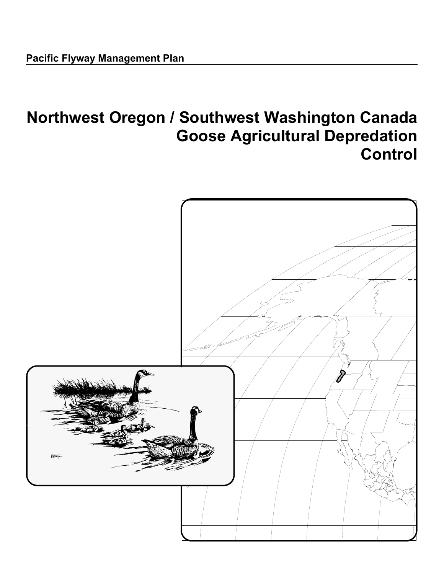# **Northwest Oregon / Southwest Washington Canada Goose Agricultural Depredation Control**

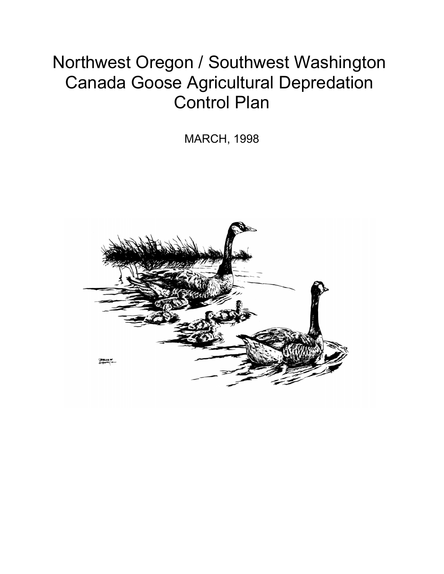# Northwest Oregon / Southwest Washington Canada Goose Agricultural Depredation Control Plan

MARCH, 1998

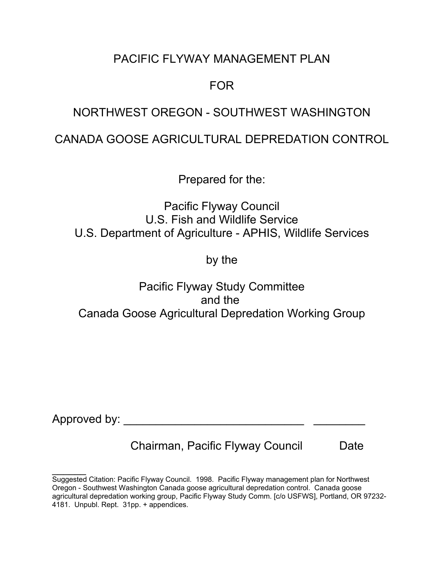## PACIFIC FLYWAY MANAGEMENT PLAN

## FOR

## NORTHWEST OREGON - SOUTHWEST WASHINGTON

## CANADA GOOSE AGRICULTURAL DEPREDATION CONTROL

Prepared for the:

Pacific Flyway Council U.S. Fish and Wildlife Service U.S. Department of Agriculture - APHIS, Wildlife Services

by the

Pacific Flyway Study Committee and the Canada Goose Agricultural Depredation Working Group

Approved by:

 $\frac{1}{2}$ 

Chairman, Pacific Flyway Council Date

Suggested Citation: Pacific Flyway Council. 1998. Pacific Flyway management plan for Northwest Oregon - Southwest Washington Canada goose agricultural depredation control. Canada goose agricultural depredation working group, Pacific Flyway Study Comm. [c/o USFWS], Portland, OR 97232- 4181. Unpubl. Rept. 31pp. + appendices.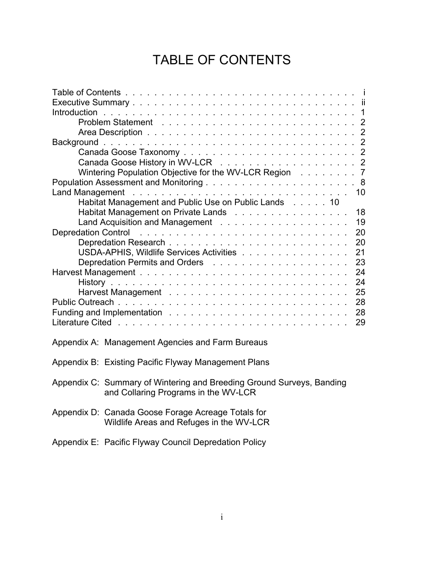## TABLE OF CONTENTS

| Wintering Population Objective for the WV-LCR Region<br>- 7                                                                                                                                                                                                       |
|-------------------------------------------------------------------------------------------------------------------------------------------------------------------------------------------------------------------------------------------------------------------|
|                                                                                                                                                                                                                                                                   |
| 10                                                                                                                                                                                                                                                                |
| Habitat Management and Public Use on Public Lands 10                                                                                                                                                                                                              |
| Habitat Management on Private Lands<br>18                                                                                                                                                                                                                         |
| 19                                                                                                                                                                                                                                                                |
| <b>Depredation Control</b><br>and a construction of the construction of the construction of the construction of the construction of the construction of the construction of the construction of the construction of the construction of the construction of<br>20 |
| 20                                                                                                                                                                                                                                                                |
| USDA-APHIS, Wildlife Services Activities<br>21                                                                                                                                                                                                                    |
| 23                                                                                                                                                                                                                                                                |
| 24                                                                                                                                                                                                                                                                |
| 24                                                                                                                                                                                                                                                                |
| 25                                                                                                                                                                                                                                                                |
| 28                                                                                                                                                                                                                                                                |
| 28                                                                                                                                                                                                                                                                |
| 29                                                                                                                                                                                                                                                                |
|                                                                                                                                                                                                                                                                   |
| Appendix A: Management Agencies and Farm Bureaus                                                                                                                                                                                                                  |

- Appendix B: Existing Pacific Flyway Management Plans
- Appendix C: Summary of Wintering and Breeding Ground Surveys, Banding and Collaring Programs in the WV-LCR
- Appendix D: Canada Goose Forage Acreage Totals for Wildlife Areas and Refuges in the WV-LCR
- Appendix E: Pacific Flyway Council Depredation Policy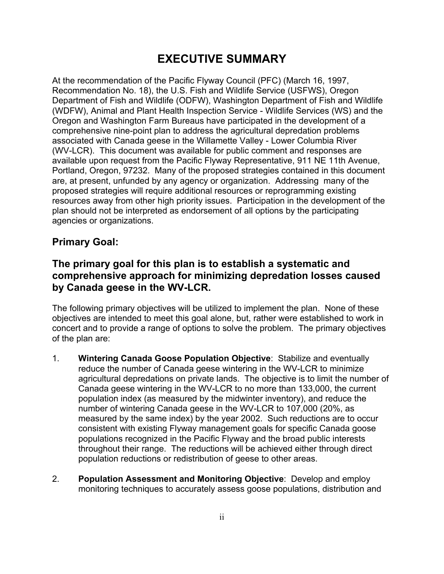## **EXECUTIVE SUMMARY**

At the recommendation of the Pacific Flyway Council (PFC) (March 16, 1997, Recommendation No. 18), the U.S. Fish and Wildlife Service (USFWS), Oregon Department of Fish and Wildlife (ODFW), Washington Department of Fish and Wildlife (WDFW), Animal and Plant Health Inspection Service - Wildlife Services (WS) and the Oregon and Washington Farm Bureaus have participated in the development of a comprehensive nine-point plan to address the agricultural depredation problems associated with Canada geese in the Willamette Valley - Lower Columbia River (WV-LCR). This document was available for public comment and responses are available upon request from the Pacific Flyway Representative, 911 NE 11th Avenue, Portland, Oregon, 97232. Many of the proposed strategies contained in this document are, at present, unfunded by any agency or organization. Addressing many of the proposed strategies will require additional resources or reprogramming existing resources away from other high priority issues. Participation in the development of the plan should not be interpreted as endorsement of all options by the participating agencies or organizations.

## **Primary Goal:**

## **The primary goal for this plan is to establish a systematic and comprehensive approach for minimizing depredation losses caused by Canada geese in the WV-LCR.**

The following primary objectives will be utilized to implement the plan. None of these objectives are intended to meet this goal alone, but, rather were established to work in concert and to provide a range of options to solve the problem. The primary objectives of the plan are:

- 1. **Wintering Canada Goose Population Objective**: Stabilize and eventually reduce the number of Canada geese wintering in the WV-LCR to minimize agricultural depredations on private lands. The objective is to limit the number of Canada geese wintering in the WV-LCR to no more than 133,000, the current population index (as measured by the midwinter inventory), and reduce the number of wintering Canada geese in the WV-LCR to 107,000 (20%, as measured by the same index) by the year 2002. Such reductions are to occur consistent with existing Flyway management goals for specific Canada goose populations recognized in the Pacific Flyway and the broad public interests throughout their range. The reductions will be achieved either through direct population reductions or redistribution of geese to other areas.
- 2. **Population Assessment and Monitoring Objective**: Develop and employ monitoring techniques to accurately assess goose populations, distribution and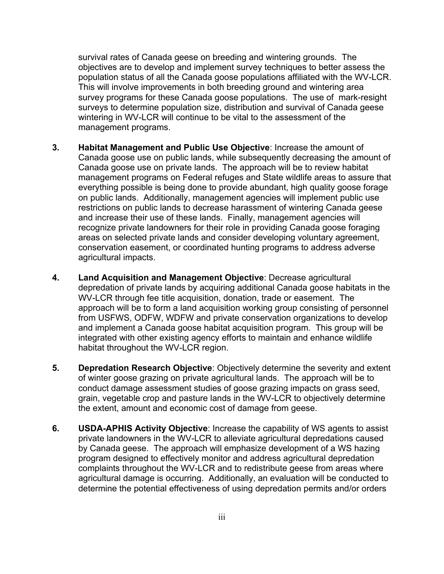survival rates of Canada geese on breeding and wintering grounds. The objectives are to develop and implement survey techniques to better assess the population status of all the Canada goose populations affiliated with the WV-LCR. This will involve improvements in both breeding ground and wintering area survey programs for these Canada goose populations. The use of mark-resight surveys to determine population size, distribution and survival of Canada geese wintering in WV-LCR will continue to be vital to the assessment of the management programs.

- **3. Habitat Management and Public Use Objective**: Increase the amount of Canada goose use on public lands, while subsequently decreasing the amount of Canada goose use on private lands. The approach will be to review habitat management programs on Federal refuges and State wildlife areas to assure that everything possible is being done to provide abundant, high quality goose forage on public lands. Additionally, management agencies will implement public use restrictions on public lands to decrease harassment of wintering Canada geese and increase their use of these lands. Finally, management agencies will recognize private landowners for their role in providing Canada goose foraging areas on selected private lands and consider developing voluntary agreement, conservation easement, or coordinated hunting programs to address adverse agricultural impacts.
- **4. Land Acquisition and Management Objective**: Decrease agricultural depredation of private lands by acquiring additional Canada goose habitats in the WV-LCR through fee title acquisition, donation, trade or easement. The approach will be to form a land acquisition working group consisting of personnel from USFWS, ODFW, WDFW and private conservation organizations to develop and implement a Canada goose habitat acquisition program. This group will be integrated with other existing agency efforts to maintain and enhance wildlife habitat throughout the WV-LCR region.
- **5. Depredation Research Objective**: Objectively determine the severity and extent of winter goose grazing on private agricultural lands. The approach will be to conduct damage assessment studies of goose grazing impacts on grass seed, grain, vegetable crop and pasture lands in the WV-LCR to objectively determine the extent, amount and economic cost of damage from geese.
- **6. USDA-APHIS Activity Objective**: Increase the capability of WS agents to assist private landowners in the WV-LCR to alleviate agricultural depredations caused by Canada geese. The approach will emphasize development of a WS hazing program designed to effectively monitor and address agricultural depredation complaints throughout the WV-LCR and to redistribute geese from areas where agricultural damage is occurring. Additionally, an evaluation will be conducted to determine the potential effectiveness of using depredation permits and/or orders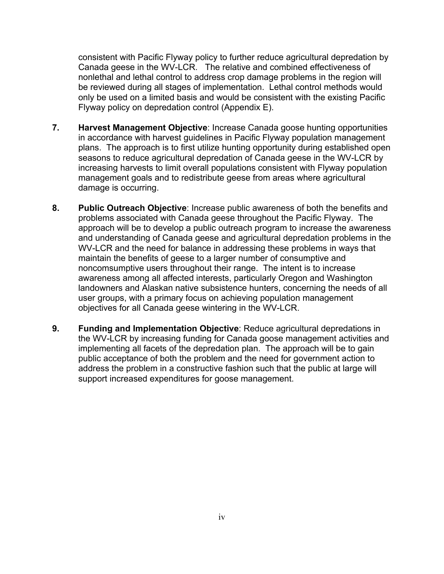consistent with Pacific Flyway policy to further reduce agricultural depredation by Canada geese in the WV-LCR. The relative and combined effectiveness of nonlethal and lethal control to address crop damage problems in the region will be reviewed during all stages of implementation. Lethal control methods would only be used on a limited basis and would be consistent with the existing Pacific Flyway policy on depredation control (Appendix E).

- **7. Harvest Management Objective**: Increase Canada goose hunting opportunities in accordance with harvest guidelines in Pacific Flyway population management plans. The approach is to first utilize hunting opportunity during established open seasons to reduce agricultural depredation of Canada geese in the WV-LCR by increasing harvests to limit overall populations consistent with Flyway population management goals and to redistribute geese from areas where agricultural damage is occurring.
- **8. Public Outreach Objective**: Increase public awareness of both the benefits and problems associated with Canada geese throughout the Pacific Flyway. The approach will be to develop a public outreach program to increase the awareness and understanding of Canada geese and agricultural depredation problems in the WV-LCR and the need for balance in addressing these problems in ways that maintain the benefits of geese to a larger number of consumptive and noncomsumptive users throughout their range. The intent is to increase awareness among all affected interests, particularly Oregon and Washington landowners and Alaskan native subsistence hunters, concerning the needs of all user groups, with a primary focus on achieving population management objectives for all Canada geese wintering in the WV-LCR.
- **9. Funding and Implementation Objective**: Reduce agricultural depredations in the WV-LCR by increasing funding for Canada goose management activities and implementing all facets of the depredation plan. The approach will be to gain public acceptance of both the problem and the need for government action to address the problem in a constructive fashion such that the public at large will support increased expenditures for goose management.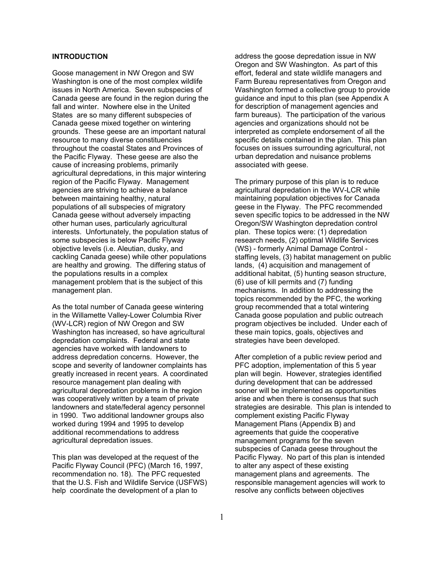#### **INTRODUCTION**

Goose management in NW Oregon and SW Washington is one of the most complex wildlife issues in North America. Seven subspecies of Canada geese are found in the region during the fall and winter. Nowhere else in the United States are so many different subspecies of Canada geese mixed together on wintering grounds. These geese are an important natural resource to many diverse constituencies throughout the coastal States and Provinces of the Pacific Flyway. These geese are also the cause of increasing problems, primarily agricultural depredations, in this major wintering region of the Pacific Flyway. Management agencies are striving to achieve a balance between maintaining healthy, natural populations of all subspecies of migratory Canada geese without adversely impacting other human uses, particularly agricultural interests. Unfortunately, the population status of some subspecies is below Pacific Flyway objective levels (i.e. Aleutian, dusky, and cackling Canada geese) while other populations are healthy and growing. The differing status of the populations results in a complex management problem that is the subject of this management plan.

As the total number of Canada geese wintering in the Willamette Valley-Lower Columbia River (WV-LCR) region of NW Oregon and SW Washington has increased, so have agricultural depredation complaints. Federal and state agencies have worked with landowners to address depredation concerns. However, the scope and severity of landowner complaints has greatly increased in recent years. A coordinated resource management plan dealing with agricultural depredation problems in the region was cooperatively written by a team of private landowners and state/federal agency personnel in 1990. Two additional landowner groups also worked during 1994 and 1995 to develop additional recommendations to address agricultural depredation issues.

This plan was developed at the request of the Pacific Flyway Council (PFC) (March 16, 1997, recommendation no. 18). The PFC requested that the U.S. Fish and Wildlife Service (USFWS) help coordinate the development of a plan to

address the goose depredation issue in NW Oregon and SW Washington. As part of this effort, federal and state wildlife managers and Farm Bureau representatives from Oregon and Washington formed a collective group to provide guidance and input to this plan (see Appendix A for description of management agencies and farm bureaus). The participation of the various agencies and organizations should not be interpreted as complete endorsement of all the specific details contained in the plan. This plan focuses on issues surrounding agricultural, not urban depredation and nuisance problems associated with geese.

The primary purpose of this plan is to reduce agricultural depredation in the WV-LCR while maintaining population objectives for Canada geese in the Flyway.The PFC recommended seven specific topics to be addressed in the NW Oregon/SW Washington depredation control plan. These topics were: (1) depredation research needs, (2) optimal Wildlife Services (WS) - formerly Animal Damage Control staffing levels, (3) habitat management on public lands, (4) acquisition and management of additional habitat, (5) hunting season structure, (6) use of kill permits and (7) funding mechanisms. In addition to addressing the topics recommended by the PFC, the working group recommended that a total wintering Canada goose population and public outreach program objectives be included. Under each of these main topics, goals, objectives and strategies have been developed.

After completion of a public review period and PFC adoption, implementation of this 5 year plan will begin. However, strategies identified during development that can be addressed sooner will be implemented as opportunities arise and when there is consensus that such strategies are desirable. This plan is intended to complement existing Pacific Flyway Management Plans (Appendix B) and agreements that guide the cooperative management programs for the seven subspecies of Canada geese throughout the Pacific Flyway. No part of this plan is intended to alter any aspect of these existing management plans and agreements. The responsible management agencies will work to resolve any conflicts between objectives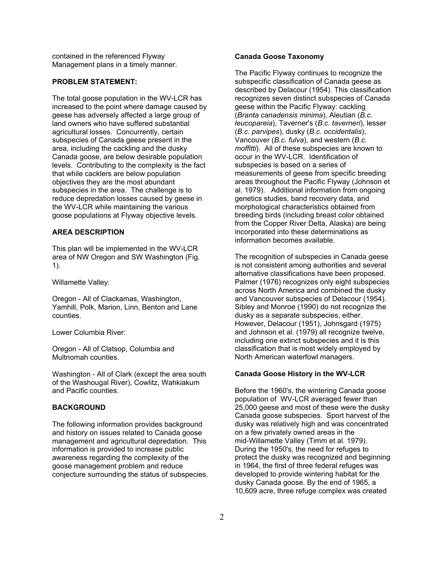contained in the referenced Flyway Management plans in a timely manner.

#### **PROBLEM STATEMENT:**

The total goose population in the WV-LCR has increased to the point where damage caused by geese has adversely affected a large group of land owners who have suffered substantial agricultural losses. Concurrently, certain subspecies of Canada geese present in the area, including the cackling and the dusky Canada goose, are below desirable population levels. Contributing to the complexity is the fact that while cacklers are below population objectives they are the most abundant subspecies in the area. The challenge is to reduce depredation losses caused by geese in the WV-LCR while maintaining the various goose populations at Flyway objective levels.

#### **AREA DESCRIPTION**

This plan will be implemented in the WV-LCR area of NW Oregon and SW Washington (Fig. 1).

Willamette Valley:

Oregon - All of Clackamas, Washington, Yamhill, Polk, Marion, Linn, Benton and Lane counties.

Lower Columbia River:

Oregon - All of Clatsop, Columbia and Multnomah counties.

Washington - All of Clark (except the area south of the Washougal River), Cowlitz, Wahkiakum and Pacific counties.

#### **BACKGROUND**

The following information provides background and history on issues related to Canada goose management and agricultural depredation. This information is provided to increase public awareness regarding the complexity of the goose management problem and reduce conjecture surrounding the status of subspecies.

#### **Canada Goose Taxonomy**

The Pacific Flyway continues to recognize the subspecific classification of Canada geese as described by Delacour (1954). This classification recognizes seven distinct subspecies of Canada geese within the Pacific Flyway: cackling (*Branta canadensis minima*), Aleutian (*B.c. leucopareia*), Taverner's (*B.c. taverneri*), lesser (*B.c. parvipes*), dusky (*B.c. occidentalis*), Vancouver (*B.c. fulva*), and western (*B.c. moffitti*). All of these subspecies are known to occur in the WV-LCR. Identification of subspecies is based on a series of measurements of geese from specific breeding areas throughout the Pacific Flyway (Johnson et al. 1979). Additional information from ongoing genetics studies, band recovery data, and morphological characteristics obtained from breeding birds (including breast color obtained from the Copper River Delta, Alaska) are being incorporated into these determinations as information becomes available.

The recognition of subspecies in Canada geese is not consistent among authorities and several alternative classifications have been proposed. Palmer (1976) recognizes only eight subspecies across North America and combined the dusky and Vancouver subspecies of Delacour (1954). Sibley and Monroe (1990) do not recognize the dusky as a separate subspecies, either. However, Delacour (1951), Johnsgard (1975) and Johnson et al. (1979) all recognize twelve, including one extinct subspecies and it is this classification that is most widely employed by North American waterfowl managers.

#### **Canada Goose History in the WV-LCR**

Before the 1960's, the wintering Canada goose population of WV-LCR averaged fewer than 25,000 geese and most of these were the dusky Canada goose subspecies. Sport harvest of the dusky was relatively high and was concentrated on a few privately owned areas in the mid-Willamette Valley (Timm et al. 1979). During the 1950's, the need for refuges to protect the dusky was recognized and beginning in 1964, the first of three federal refuges was developed to provide wintering habitat for the dusky Canada goose. By the end of 1965, a 10,609 acre, three refuge complex was created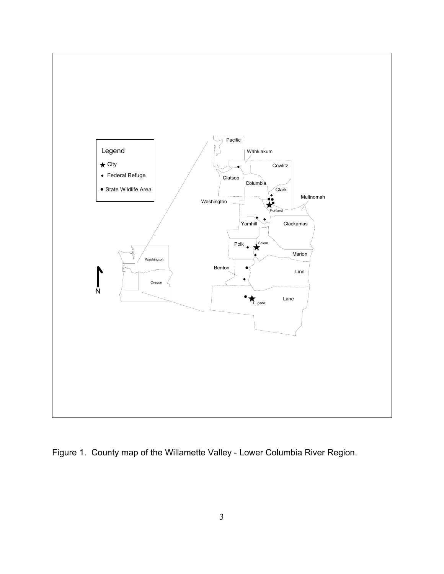

Figure 1. County map of the Willamette Valley - Lower Columbia River Region.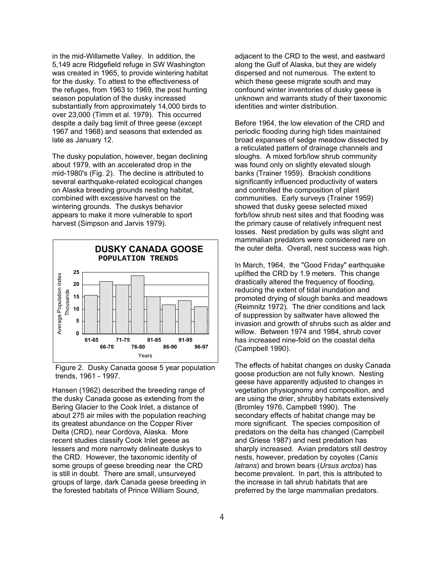in the mid-Willamette Valley. In addition, the 5,149 acre Ridgefield refuge in SW Washington was created in 1965, to provide wintering habitat for the dusky. To attest to the effectiveness of the refuges, from 1963 to 1969, the post hunting season population of the dusky increased substantially from approximately 14,000 birds to over 23,000 (Timm et al. 1979). This occurred despite a daily bag limit of three geese (except 1967 and 1968) and seasons that extended as late as January 12.

The dusky population, however, began declining about 1979, with an accelerated drop in the mid-1980's (Fig. 2). The decline is attributed to several earthquake-related ecological changes on Alaska breeding grounds nesting habitat, combined with excessive harvest on the wintering grounds. The duskys behavior appears to make it more vulnerable to sport harvest (Simpson and Jarvis 1979).



Figure 2. Dusky Canada goose 5 year population trends, 1961 - 1997.

Hansen (1962) described the breeding range of the dusky Canada goose as extending from the Bering Glacier to the Cook Inlet, a distance of about 275 air miles with the population reaching its greatest abundance on the Copper River Delta (CRD), near Cordova, Alaska. More recent studies classify Cook Inlet geese as lessers and more narrowly delineate duskys to the CRD. However, the taxonomic identity of some groups of geese breeding near the CRD is still in doubt. There are small, unsurveyed groups of large, dark Canada geese breeding in the forested habitats of Prince William Sound,

adjacent to the CRD to the west, and eastward along the Gulf of Alaska, but they are widely dispersed and not numerous. The extent to which these geese migrate south and may confound winter inventories of dusky geese is unknown and warrants study of their taxonomic identities and winter distribution.

Before 1964, the low elevation of the CRD and periodic flooding during high tides maintained broad expanses of sedge meadow dissected by a reticulated pattern of drainage channels and sloughs. A mixed forb/low shrub community was found only on slightly elevated slough banks (Trainer 1959). Brackish conditions significantly influenced productivity of waters and controlled the composition of plant communities. Early surveys (Trainer 1959) showed that dusky geese selected mixed forb/low shrub nest sites and that flooding was the primary cause of relatively infrequent nest losses. Nest predation by gulls was slight and mammalian predators were considered rare on the outer delta. Overall, nest success was high.

In March, 1964, the "Good Friday" earthquake uplifted the CRD by 1.9 meters. This change drastically altered the frequency of flooding, reducing the extent of tidal inundation and promoted drying of slough banks and meadows (Reimnitz 1972). The drier conditions and lack of suppression by saltwater have allowed the invasion and growth of shrubs such as alder and willow. Between 1974 and 1984, shrub cover has increased nine-fold on the coastal delta (Campbell 1990).

The effects of habitat changes on dusky Canada goose production are not fully known. Nesting geese have apparently adjusted to changes in vegetation physiognomy and composition, and are using the drier, shrubby habitats extensively (Bromley 1976, Campbell 1990). The secondary effects of habitat change may be more significant. The species composition of predators on the delta has changed (Campbell and Griese 1987) and nest predation has sharply increased. Avian predators still destroy nests, however, predation by coyotes (*Canis latrans*) and brown bears (*Ursus arctos*) has become prevalent. In part, this is attributed to the increase in tall shrub habitats that are preferred by the large mammalian predators.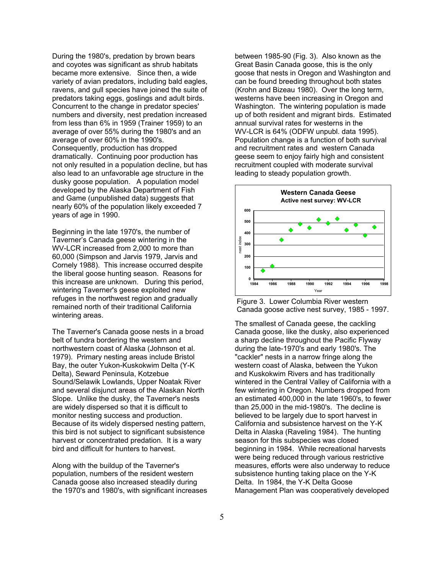During the 1980's, predation by brown bears and coyotes was significant as shrub habitats became more extensive. Since then, a wide variety of avian predators, including bald eagles, ravens, and gull species have joined the suite of predators taking eggs, goslings and adult birds. Concurrent to the change in predator species' numbers and diversity, nest predation increased from less than 6% in 1959 (Trainer 1959) to an average of over 55% during the 1980's and an average of over 60% in the 1990's. Consequently, production has dropped dramatically. Continuing poor production has not only resulted in a population decline, but has also lead to an unfavorable age structure in the dusky goose population. A population model developed by the Alaska Department of Fish and Game (unpublished data) suggests that nearly 60% of the population likely exceeded 7 years of age in 1990.

Beginning in the late 1970's, the number of Taverner's Canada geese wintering in the WV-LCR increased from 2,000 to more than 60,000 (Simpson and Jarvis 1979, Jarvis and Cornely 1988). This increase occurred despite the liberal goose hunting season. Reasons for this increase are unknown. During this period, wintering Taverner's geese exploited new refuges in the northwest region and gradually remained north of their traditional California wintering areas.

The Taverner's Canada goose nests in a broad belt of tundra bordering the western and northwestern coast of Alaska (Johnson et al. 1979). Primary nesting areas include Bristol Bay, the outer Yukon-Kuskokwim Delta (Y-K Delta), Seward Peninsula, Kotzebue Sound/Selawik Lowlands, Upper Noatak River and several disjunct areas of the Alaskan North Slope. Unlike the dusky, the Taverner's nests are widely dispersed so that it is difficult to monitor nesting success and production. Because of its widely dispersed nesting pattern, this bird is not subject to significant subsistence harvest or concentrated predation. It is a wary bird and difficult for hunters to harvest.

Along with the buildup of the Taverner's population, numbers of the resident western Canada goose also increased steadily during the 1970's and 1980's, with significant increases

between 1985-90 (Fig. 3). Also known as the Great Basin Canada goose, this is the only goose that nests in Oregon and Washington and can be found breeding throughout both states (Krohn and Bizeau 1980). Over the long term, westerns have been increasing in Oregon and Washington. The wintering population is made up of both resident and migrant birds. Estimated annual survival rates for westerns in the WV-LCR is 64% (ODFW unpubl. data 1995). Population change is a function of both survival and recruitment rates and western Canada geese seem to enjoy fairly high and consistent recruitment coupled with moderate survival leading to steady population growth.



Figure 3. Lower Columbia River western Canada goose active nest survey, 1985 - 1997.

The smallest of Canada geese, the cackling Canada goose, like the dusky, also experienced a sharp decline throughout the Pacific Flyway during the late-1970's and early 1980's. The "cackler" nests in a narrow fringe along the western coast of Alaska, between the Yukon and Kuskokwim Rivers and has traditionally wintered in the Central Valley of California with a few wintering in Oregon. Numbers dropped from an estimated 400,000 in the late 1960's, to fewer than 25,000 in the mid-1980's. The decline is believed to be largely due to sport harvest in California and subsistence harvest on the Y-K Delta in Alaska (Raveling 1984). The hunting season for this subspecies was closed beginning in 1984. While recreational harvests were being reduced through various restrictive measures, efforts were also underway to reduce subsistence hunting taking place on the Y-K Delta. In 1984, the Y-K Delta Goose Management Plan was cooperatively developed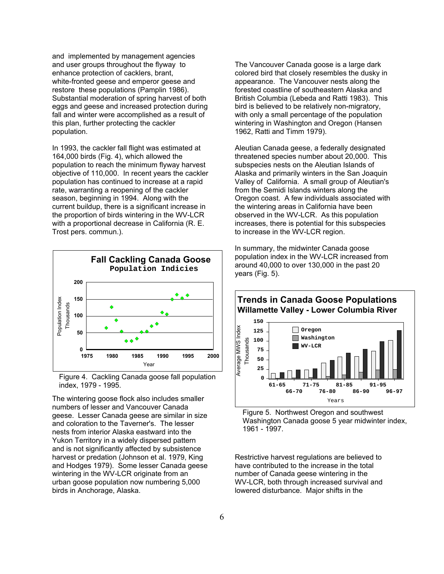and implemented by management agencies and user groups throughout the flyway to enhance protection of cacklers, brant, white-fronted geese and emperor geese and restore these populations (Pamplin 1986). Substantial moderation of spring harvest of both eggs and geese and increased protection during fall and winter were accomplished as a result of this plan, further protecting the cackler population.

In 1993, the cackler fall flight was estimated at 164,000 birds (Fig. 4), which allowed the population to reach the minimum flyway harvest objective of 110,000. In recent years the cackler population has continued to increase at a rapid rate, warranting a reopening of the cackler season, beginning in 1994. Along with the current buildup, there is a significant increase in the proportion of birds wintering in the WV-LCR with a proportional decrease in California (R. E. Trost pers. commun.).



Figure 4. Cackling Canada goose fall population index, 1979 - 1995. **61-65**

The wintering goose flock also includes smaller numbers of lesser and Vancouver Canada geese. Lesser Canada geese are similar in size and coloration to the Taverner's. The lesser nests from interior Alaska eastward into the Yukon Territory in a widely dispersed pattern and is not significantly affected by subsistence harvest or predation (Johnson et al. 1979, King and Hodges 1979). Some lesser Canada geese wintering in the WV-LCR originate from an urban goose population now numbering 5,000 birds in Anchorage, Alaska.

The Vancouver Canada goose is a large dark colored bird that closely resembles the dusky in appearance. The Vancouver nests along the forested coastline of southeastern Alaska and British Columbia (Lebeda and Ratti 1983). This bird is believed to be relatively non-migratory, with only a small percentage of the population wintering in Washington and Oregon (Hansen 1962, Ratti and Timm 1979).

Aleutian Canada geese, a federally designated threatened species number about 20,000. This subspecies nests on the Aleutian Islands of Alaska and primarily winters in the San Joaquin Valley of California. A small group of Aleutian's from the Semidi Islands winters along the Oregon coast. A few individuals associated with the wintering areas in California have been observed in the WV-LCR. As this population increases, there is potential for this subspecies to increase in the WV-LCR region.

In summary, the midwinter Canada goose population index in the WV-LCR increased from around 40,000 to over 130,000 in the past 20 years (Fig. 5).

## **Trends in Canada Goose Populations Willamette Valley - Lower Columbia River**



Figure 5. Northwest Oregon and southwest Washington Canada goose 5 year midwinter index, 1961 - 1997.

Restrictive harvest regulations are believed to have contributed to the increase in the total number of Canada geese wintering in the WV-LCR, both through increased survival and lowered disturbance. Major shifts in the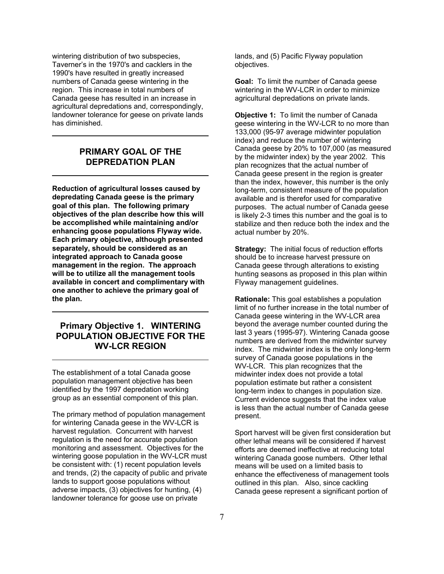wintering distribution of two subspecies, Taverner's in the 1970's and cacklers in the 1990's have resulted in greatly increased numbers of Canada geese wintering in the region. This increase in total numbers of Canada geese has resulted in an increase in agricultural depredations and, correspondingly, landowner tolerance for geese on private lands has diminished.

## **PRIMARY GOAL OF THE DEPREDATION PLAN**

**Reduction of agricultural losses caused by depredating Canada geese is the primary goal of this plan. The following primary objectives of the plan describe how this will be accomplished while maintaining and/or enhancing goose populations Flyway wide. Each primary objective, although presented separately, should be considered as an integrated approach to Canada goose management in the region. The approach will be to utilize all the management tools available in concert and complimentary with one another to achieve the primary goal of the plan.**

## **Primary Objective 1. WINTERING POPULATION OBJECTIVE FOR THE WV-LCR REGION**

The establishment of a total Canada goose population management objective has been identified by the 1997 depredation working group as an essential component of this plan.

The primary method of population management for wintering Canada geese in the WV-LCR is harvest regulation. Concurrent with harvest regulation is the need for accurate population monitoring and assessment. Objectives for the wintering goose population in the WV-LCR must be consistent with: (1) recent population levels and trends, (2) the capacity of public and private lands to support goose populations without adverse impacts, (3) objectives for hunting, (4) landowner tolerance for goose use on private

lands, and (5) Pacific Flyway population objectives.

**Goal:** To limit the number of Canada geese wintering in the WV-LCR in order to minimize agricultural depredations on private lands.

**Objective 1:** To limit the number of Canada geese wintering in the WV-LCR to no more than 133,000 (95-97 average midwinter population index) and reduce the number of wintering Canada geese by 20% to 107,000 (as measured by the midwinter index) by the year 2002. This plan recognizes that the actual number of Canada geese present in the region is greater than the index, however, this number is the only long-term, consistent measure of the population available and is therefor used for comparative purposes. The actual number of Canada geese is likely 2-3 times this number and the goal is to stabilize and then reduce both the index and the actual number by 20%.

**Strategy:** The initial focus of reduction efforts should be to increase harvest pressure on Canada geese through alterations to existing hunting seasons as proposed in this plan within Flyway management guidelines.

**Rationale:** This goal establishes a population limit of no further increase in the total number of Canada geese wintering in the WV-LCR area beyond the average number counted during the last 3 years (1995-97). Wintering Canada goose numbers are derived from the midwinter survey index. The midwinter index is the only long-term survey of Canada goose populations in the WV-LCR. This plan recognizes that the midwinter index does not provide a total population estimate but rather a consistent long-term index to changes in population size. Current evidence suggests that the index value is less than the actual number of Canada geese present.

Sport harvest will be given first consideration but other lethal means will be considered if harvest efforts are deemed ineffective at reducing total wintering Canada goose numbers. Other lethal means will be used on a limited basis to enhance the effectiveness of management tools outlined in this plan. Also, since cackling Canada geese represent a significant portion of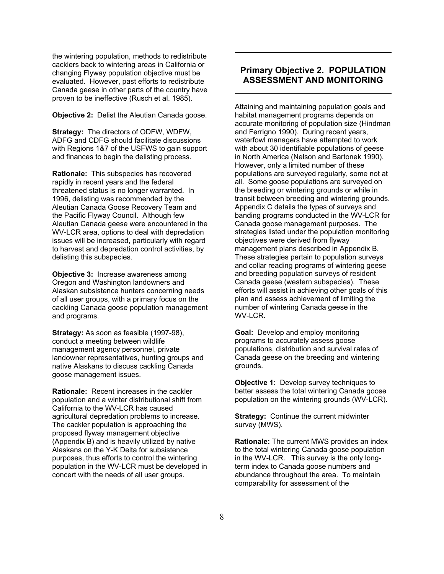the wintering population, methods to redistribute cacklers back to wintering areas in California or changing Flyway population objective must be evaluated. However, past efforts to redistribute Canada geese in other parts of the country have proven to be ineffective (Rusch et al. 1985).

**Objective 2:** Delist the Aleutian Canada goose.

**Strategy:** The directors of ODFW, WDFW, ADFG and CDFG should facilitate discussions with Regions 1&7 of the USFWS to gain support and finances to begin the delisting process.

**Rationale:** This subspecies has recovered rapidly in recent years and the federal threatened status is no longer warranted. In 1996, delisting was recommended by the Aleutian Canada Goose Recovery Team and the Pacific Flyway Council. Although few Aleutian Canada geese were encountered in the WV-LCR area, options to deal with depredation issues will be increased, particularly with regard to harvest and depredation control activities, by delisting this subspecies.

**Objective 3:** Increase awareness among Oregon and Washington landowners and Alaskan subsistence hunters concerning needs of all user groups, with a primary focus on the cackling Canada goose population management and programs.

**Strategy:** As soon as feasible (1997-98), conduct a meeting between wildlife management agency personnel, private landowner representatives, hunting groups and native Alaskans to discuss cackling Canada goose management issues.

**Rationale:** Recent increases in the cackler population and a winter distributional shift from California to the WV-LCR has caused agricultural depredation problems to increase. The cackler population is approaching the proposed flyway management objective (Appendix B) and is heavily utilized by native Alaskans on the Y-K Delta for subsistence purposes, thus efforts to control the wintering population in the WV-LCR must be developed in concert with the needs of all user groups.

## **Primary Objective 2. POPULATION ASSESSMENT AND MONITORING**

Attaining and maintaining population goals and habitat management programs depends on accurate monitoring of population size (Hindman and Ferrigno 1990). During recent years, waterfowl managers have attempted to work with about 30 identifiable populations of geese in North America (Nelson and Bartonek 1990). However, only a limited number of these populations are surveyed regularly, some not at all. Some goose populations are surveyed on the breeding or wintering grounds or while in transit between breeding and wintering grounds. Appendix C details the types of surveys and banding programs conducted in the WV-LCR for Canada goose management purposes. The strategies listed under the population monitoring objectives were derived from flyway management plans described in Appendix B. These strategies pertain to population surveys and collar reading programs of wintering geese and breeding population surveys of resident Canada geese (western subspecies). These efforts will assist in achieving other goals of this plan and assess achievement of limiting the number of wintering Canada geese in the WV-LCR.

**Goal:** Develop and employ monitoring programs to accurately assess goose populations, distribution and survival rates of Canada geese on the breeding and wintering grounds.

**Objective 1:** Develop survey techniques to better assess the total wintering Canada goose population on the wintering grounds (WV-LCR).

**Strategy:** Continue the current midwinter survey (MWS).

**Rationale:** The current MWS provides an index to the total wintering Canada goose population in the WV-LCR. This survey is the only longterm index to Canada goose numbers and abundance throughout the area. To maintain comparability for assessment of the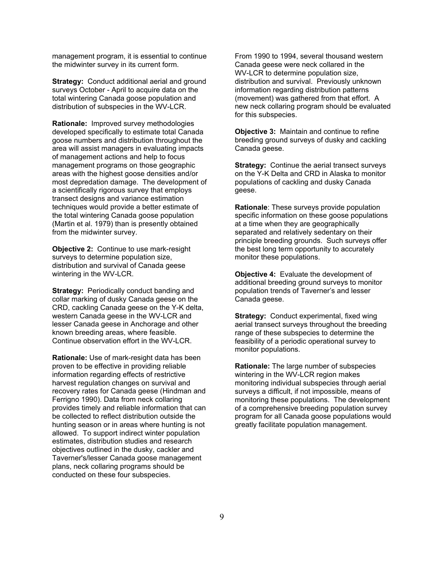management program, it is essential to continue the midwinter survey in its current form.

**Strategy:** Conduct additional aerial and ground surveys October - April to acquire data on the total wintering Canada goose population and distribution of subspecies in the WV-LCR.

**Rationale:** Improved survey methodologies developed specifically to estimate total Canada goose numbers and distribution throughout the area will assist managers in evaluating impacts of management actions and help to focus management programs on those geographic areas with the highest goose densities and/or most depredation damage. The development of a scientifically rigorous survey that employs transect designs and variance estimation techniques would provide a better estimate of the total wintering Canada goose population (Martin et al. 1979) than is presently obtained from the midwinter survey.

**Objective 2:** Continue to use mark-resight surveys to determine population size, distribution and survival of Canada geese wintering in the WV-LCR.

**Strategy: Periodically conduct banding and** collar marking of dusky Canada geese on the CRD, cackling Canada geese on the Y-K delta, western Canada geese in the WV-LCR and lesser Canada geese in Anchorage and other known breeding areas, where feasible. Continue observation effort in the WV-LCR.

**Rationale:** Use of mark-resight data has been proven to be effective in providing reliable information regarding effects of restrictive harvest regulation changes on survival and recovery rates for Canada geese (Hindman and Ferrigno 1990). Data from neck collaring provides timely and reliable information that can be collected to reflect distribution outside the hunting season or in areas where hunting is not allowed. To support indirect winter population estimates, distribution studies and research objectives outlined in the dusky, cackler and Taverner's/lesser Canada goose management plans, neck collaring programs should be conducted on these four subspecies.

From 1990 to 1994, several thousand western Canada geese were neck collared in the WV-LCR to determine population size, distribution and survival. Previously unknown information regarding distribution patterns (movement) was gathered from that effort. A new neck collaring program should be evaluated for this subspecies.

**Objective 3:** Maintain and continue to refine breeding ground surveys of dusky and cackling Canada geese.

**Strategy:** Continue the aerial transect surveys on the Y-K Delta and CRD in Alaska to monitor populations of cackling and dusky Canada geese.

**Rationale**: These surveys provide population specific information on these goose populations at a time when they are geographically separated and relatively sedentary on their principle breeding grounds. Such surveys offer the best long term opportunity to accurately monitor these populations.

**Objective 4:** Evaluate the development of additional breeding ground surveys to monitor population trends of Taverner's and lesser Canada geese.

**Strategy:** Conduct experimental, fixed wing aerial transect surveys throughout the breeding range of these subspecies to determine the feasibility of a periodic operational survey to monitor populations.

**Rationale:** The large number of subspecies wintering in the WV-LCR region makes monitoring individual subspecies through aerial surveys a difficult, if not impossible, means of monitoring these populations. The development of a comprehensive breeding population survey program for all Canada goose populations would greatly facilitate population management.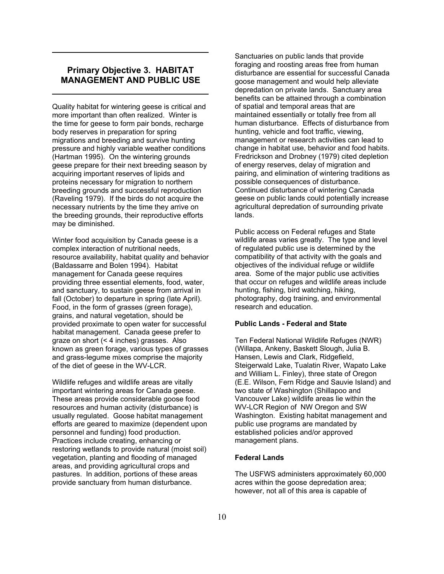### **Primary Objective 3. HABITAT MANAGEMENT AND PUBLIC USE**

Quality habitat for wintering geese is critical and more important than often realized. Winter is the time for geese to form pair bonds, recharge body reserves in preparation for spring migrations and breeding and survive hunting pressure and highly variable weather conditions (Hartman 1995). On the wintering grounds geese prepare for their next breeding season by acquiring important reserves of lipids and proteins necessary for migration to northern breeding grounds and successful reproduction (Raveling 1979). If the birds do not acquire the necessary nutrients by the time they arrive on the breeding grounds, their reproductive efforts may be diminished.

Winter food acquisition by Canada geese is a complex interaction of nutritional needs, resource availability, habitat quality and behavior (Baldassarre and Bolen 1994). Habitat management for Canada geese requires providing three essential elements, food, water, and sanctuary, to sustain geese from arrival in fall (October) to departure in spring (late April). Food, in the form of grasses (green forage), grains, and natural vegetation, should be provided proximate to open water for successful habitat management. Canada geese prefer to graze on short (< 4 inches) grasses. Also known as green forage, various types of grasses and grass-legume mixes comprise the majority of the diet of geese in the WV-LCR.

Wildlife refuges and wildlife areas are vitally important wintering areas for Canada geese. These areas provide considerable goose food resources and human activity (disturbance) is usually regulated. Goose habitat management efforts are geared to maximize (dependent upon personnel and funding) food production. Practices include creating, enhancing or restoring wetlands to provide natural (moist soil) vegetation, planting and flooding of managed areas, and providing agricultural crops and pastures. In addition, portions of these areas provide sanctuary from human disturbance.

Sanctuaries on public lands that provide foraging and roosting areas free from human disturbance are essential for successful Canada goose management and would help alleviate depredation on private lands. Sanctuary area benefits can be attained through a combination of spatial and temporal areas that are maintained essentially or totally free from all human disturbance. Effects of disturbance from hunting, vehicle and foot traffic, viewing, management or research activities can lead to change in habitat use, behavior and food habits. Fredrickson and Drobney (1979) cited depletion of energy reserves, delay of migration and pairing, and elimination of wintering traditions as possible consequences of disturbance. Continued disturbance of wintering Canada geese on public lands could potentially increase agricultural depredation of surrounding private lands.

Public access on Federal refuges and State wildlife areas varies greatly. The type and level of regulated public use is determined by the compatibility of that activity with the goals and objectives of the individual refuge or wildlife area. Some of the major public use activities that occur on refuges and wildlife areas include hunting, fishing, bird watching, hiking, photography, dog training, and environmental research and education.

#### **Public Lands - Federal and State**

Ten Federal National Wildlife Refuges (NWR) (Willapa, Ankeny, Baskett Slough, Julia B. Hansen, Lewis and Clark, Ridgefield, Steigerwald Lake, Tualatin River, Wapato Lake and William L. Finley), three state of Oregon (E.E. Wilson, Fern Ridge and Sauvie Island) and two state of Washington (Shillapoo and Vancouver Lake) wildlife areas lie within the WV-LCR Region of NW Oregon and SW Washington. Existing habitat management and public use programs are mandated by established policies and/or approved management plans.

#### **Federal Lands**

The USFWS administers approximately 60,000 acres within the goose depredation area; however, not all of this area is capable of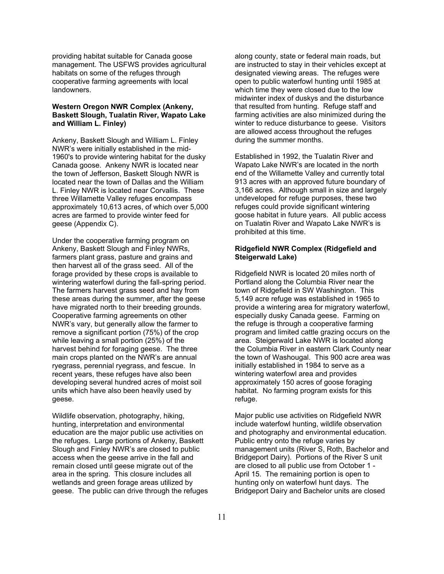providing habitat suitable for Canada goose management. The USFWS provides agricultural habitats on some of the refuges through cooperative farming agreements with local landowners.

#### **Western Oregon NWR Complex (Ankeny, Baskett Slough, Tualatin River, Wapato Lake and William L. Finley)**

Ankeny, Baskett Slough and William L. Finley NWR's were initially established in the mid-1960's to provide wintering habitat for the dusky Canada goose. Ankeny NWR is located near the town of Jefferson, Baskett Slough NWR is located near the town of Dallas and the William L. Finley NWR is located near Corvallis. These three Willamette Valley refuges encompass approximately 10,613 acres, of which over 5,000 acres are farmed to provide winter feed for geese (Appendix C).

Under the cooperative farming program on Ankeny, Baskett Slough and Finley NWRs, farmers plant grass, pasture and grains and then harvest all of the grass seed. All of the forage provided by these crops is available to wintering waterfowl during the fall-spring period. The farmers harvest grass seed and hay from these areas during the summer, after the geese have migrated north to their breeding grounds. Cooperative farming agreements on other NWR's vary, but generally allow the farmer to remove a significant portion (75%) of the crop while leaving a small portion (25%) of the harvest behind for foraging geese. The three main crops planted on the NWR's are annual ryegrass, perennial ryegrass, and fescue. In recent years, these refuges have also been developing several hundred acres of moist soil units which have also been heavily used by geese.

Wildlife observation, photography, hiking, hunting, interpretation and environmental education are the major public use activities on the refuges. Large portions of Ankeny, Baskett Slough and Finley NWR's are closed to public access when the geese arrive in the fall and remain closed until geese migrate out of the area in the spring. This closure includes all wetlands and green forage areas utilized by geese. The public can drive through the refuges along county, state or federal main roads, but are instructed to stay in their vehicles except at designated viewing areas. The refuges were open to public waterfowl hunting until 1985 at which time they were closed due to the low midwinter index of duskys and the disturbance that resulted from hunting. Refuge staff and farming activities are also minimized during the winter to reduce disturbance to geese. Visitors are allowed access throughout the refuges during the summer months.

Established in 1992, the Tualatin River and Wapato Lake NWR's are located in the north end of the Willamette Valley and currently total 913 acres with an approved future boundary of 3,166 acres. Although small in size and largely undeveloped for refuge purposes, these two refuges could provide significant wintering goose habitat in future years. All public access on Tualatin River and Wapato Lake NWR's is prohibited at this time.

#### **Ridgefield NWR Complex (Ridgefield and Steigerwald Lake)**

Ridgefield NWR is located 20 miles north of Portland along the Columbia River near the town of Ridgefield in SW Washington. This 5,149 acre refuge was established in 1965 to provide a wintering area for migratory waterfowl, especially dusky Canada geese. Farming on the refuge is through a cooperative farming program and limited cattle grazing occurs on the area. Steigerwald Lake NWR is located along the Columbia River in eastern Clark County near the town of Washougal. This 900 acre area was initially established in 1984 to serve as a wintering waterfowl area and provides approximately 150 acres of goose foraging habitat. No farming program exists for this refuge.

Major public use activities on Ridgefield NWR include waterfowl hunting, wildlife observation and photography and environmental education. Public entry onto the refuge varies by management units (River S, Roth, Bachelor and Bridgeport Dairy). Portions of the River S unit are closed to all public use from October 1 - April 15. The remaining portion is open to hunting only on waterfowl hunt days. The Bridgeport Dairy and Bachelor units are closed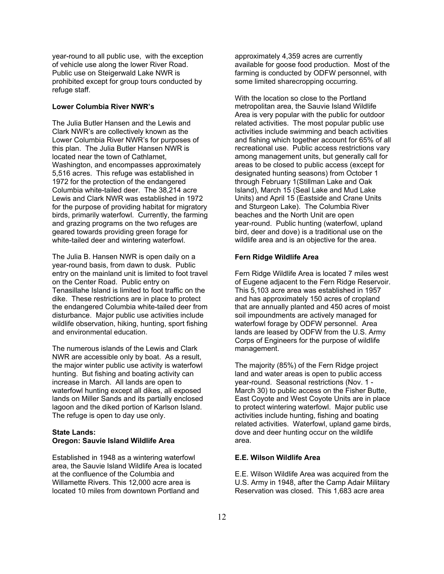year-round to all public use, with the exception of vehicle use along the lower River Road. Public use on Steigerwald Lake NWR is prohibited except for group tours conducted by refuge staff.

#### **Lower Columbia River NWR's**

The Julia Butler Hansen and the Lewis and Clark NWR's are collectively known as the Lower Columbia River NWR's for purposes of this plan. The Julia Butler Hansen NWR is located near the town of Cathlamet, Washington, and encompasses approximately 5,516 acres. This refuge was established in 1972 for the protection of the endangered Columbia white-tailed deer. The 38,214 acre Lewis and Clark NWR was established in 1972 for the purpose of providing habitat for migratory birds, primarily waterfowl. Currently, the farming and grazing programs on the two refuges are geared towards providing green forage for white-tailed deer and wintering waterfowl.

The Julia B. Hansen NWR is open daily on a year-round basis, from dawn to dusk. Public entry on the mainland unit is limited to foot travel on the Center Road. Public entry on Tenasillahe Island is limited to foot traffic on the dike. These restrictions are in place to protect the endangered Columbia white-tailed deer from disturbance. Major public use activities include wildlife observation, hiking, hunting, sport fishing and environmental education.

The numerous islands of the Lewis and Clark NWR are accessible only by boat. As a result, the major winter public use activity is waterfowl hunting. But fishing and boating activity can increase in March. All lands are open to waterfowl hunting except all dikes, all exposed lands on Miller Sands and its partially enclosed lagoon and the diked portion of Karlson Island. The refuge is open to day use only.

#### **State Lands: Oregon: Sauvie Island Wildlife Area**

Established in 1948 as a wintering waterfowl area, the Sauvie Island Wildlife Area is located at the confluence of the Columbia and Willamette Rivers. This 12,000 acre area is located 10 miles from downtown Portland and

approximately 4,359 acres are currently available for goose food production. Most of the farming is conducted by ODFW personnel, with some limited sharecropping occurring.

With the location so close to the Portland metropolitan area, the Sauvie Island Wildlife Area is very popular with the public for outdoor related activities. The most popular public use activities include swimming and beach activities and fishing which together account for 65% of all recreational use. Public access restrictions vary among management units, but generally call for areas to be closed to public access (except for designated hunting seasons) from October 1 through February 1(Stillman Lake and Oak Island), March 15 (Seal Lake and Mud Lake Units) and April 15 (Eastside and Crane Units and Sturgeon Lake). The Columbia River beaches and the North Unit are open year-round. Public hunting (waterfowl, upland bird, deer and dove) is a traditional use on the wildlife area and is an objective for the area.

#### **Fern Ridge Wildlife Area**

Fern Ridge Wildlife Area is located 7 miles west of Eugene adjacent to the Fern Ridge Reservoir. This 5,103 acre area was established in 1957 and has approximately 150 acres of cropland that are annually planted and 450 acres of moist soil impoundments are actively managed for waterfowl forage by ODFW personnel. Area lands are leased by ODFW from the U.S. Army Corps of Engineers for the purpose of wildlife management.

The majority (85%) of the Fern Ridge project land and water areas is open to public access year-round. Seasonal restrictions (Nov. 1 - March 30) to public access on the Fisher Butte, East Coyote and West Coyote Units are in place to protect wintering waterfowl. Major public use activities include hunting, fishing and boating related activities. Waterfowl, upland game birds, dove and deer hunting occur on the wildlife area.

#### **E.E. Wilson Wildlife Area**

E.E. Wilson Wildlife Area was acquired from the U.S. Army in 1948, after the Camp Adair Military Reservation was closed. This 1,683 acre area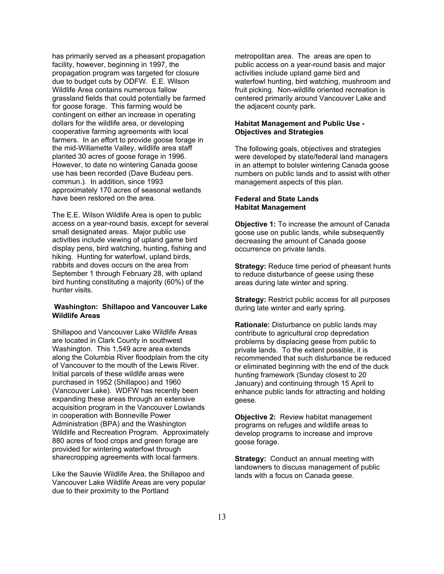has primarily served as a pheasant propagation facility, however, beginning in 1997, the propagation program was targeted for closure due to budget cuts by ODFW. E.E. Wilson Wildlife Area contains numerous fallow grassland fields that could potentially be farmed for goose forage. This farming would be contingent on either an increase in operating dollars for the wildlife area, or developing cooperative farming agreements with local farmers. In an effort to provide goose forage in the mid-Willamette Valley, wildlife area staff planted 30 acres of goose forage in 1996. However, to date no wintering Canada goose use has been recorded (Dave Budeau pers. commun.). In addition, since 1993 approximately 170 acres of seasonal wetlands have been restored on the area.

The E.E. Wilson Wildlife Area is open to public access on a year-round basis, except for several small designated areas. Major public use activities include viewing of upland game bird display pens, bird watching, hunting, fishing and hiking. Hunting for waterfowl, upland birds, rabbits and doves occurs on the area from September 1 through February 28, with upland bird hunting constituting a majority (60%) of the hunter visits.

#### **Washington: Shillapoo and Vancouver Lake Wildlife Areas**

Shillapoo and Vancouver Lake Wildlife Areas are located in Clark County in southwest Washington. This 1,549 acre area extends along the Columbia River floodplain from the city of Vancouver to the mouth of the Lewis River. Initial parcels of these wildlife areas were purchased in 1952 (Shillapoo) and 1960 (Vancouver Lake). WDFW has recently been expanding these areas through an extensive acquisition program in the Vancouver Lowlands in cooperation with Bonneville Power Administration (BPA) and the Washington Wildlife and Recreation Program. Approximately 880 acres of food crops and green forage are provided for wintering waterfowl through sharecropping agreements with local farmers.

Like the Sauvie Wildlife Area, the Shillapoo and Vancouver Lake Wildlife Areas are very popular due to their proximity to the Portland

metropolitan area. The areas are open to public access on a year-round basis and major activities include upland game bird and waterfowl hunting, bird watching, mushroom and fruit picking. Non-wildlife oriented recreation is centered primarily around Vancouver Lake and the adjacent county park.

#### **Habitat Management and Public Use - Objectives and Strategies**

The following goals, objectives and strategies were developed by state/federal land managers in an attempt to bolster wintering Canada goose numbers on public lands and to assist with other management aspects of this plan.

#### **Federal and State Lands Habitat Management**

**Objective 1:** To increase the amount of Canada goose use on public lands, while subsequently decreasing the amount of Canada goose occurrence on private lands.

**Strategy:** Reduce time period of pheasant hunts to reduce disturbance of geese using these areas during late winter and spring.

**Strategy:** Restrict public access for all purposes during late winter and early spring.

**Rationale:** Disturbance on public lands may contribute to agricultural crop depredation problems by displacing geese from public to private lands. To the extent possible, it is recommended that such disturbance be reduced or eliminated beginning with the end of the duck hunting framework (Sunday closest to 20 January) and continuing through 15 April to enhance public lands for attracting and holding geese.

**Objective 2:** Review habitat management programs on refuges and wildlife areas to develop programs to increase and improve goose forage.

**Strategy:** Conduct an annual meeting with landowners to discuss management of public lands with a focus on Canada geese.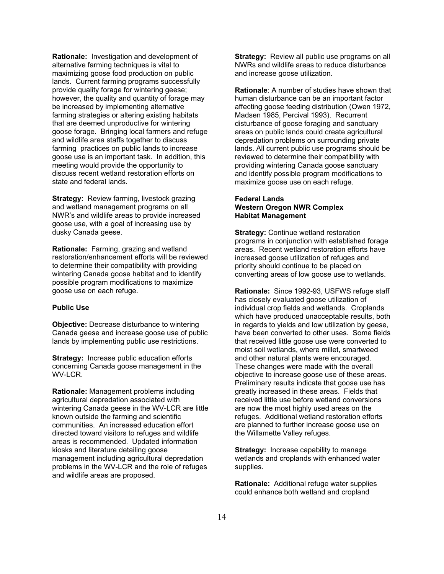**Rationale:** Investigation and development of alternative farming techniques is vital to maximizing goose food production on public lands. Current farming programs successfully provide quality forage for wintering geese; however, the quality and quantity of forage may be increased by implementing alternative farming strategies or altering existing habitats that are deemed unproductive for wintering goose forage. Bringing local farmers and refuge and wildlife area staffs together to discuss farming practices on public lands to increase goose use is an important task. In addition, this meeting would provide the opportunity to discuss recent wetland restoration efforts on state and federal lands.

**Strategy:** Review farming, livestock grazing and wetland management programs on all NWR's and wildlife areas to provide increased goose use, with a goal of increasing use by dusky Canada geese.

**Rationale:** Farming, grazing and wetland restoration/enhancement efforts will be reviewed to determine their compatibility with providing wintering Canada goose habitat and to identify possible program modifications to maximize goose use on each refuge.

#### **Public Use**

**Objective:** Decrease disturbance to wintering Canada geese and increase goose use of public lands by implementing public use restrictions.

**Strategy:** Increase public education efforts concerning Canada goose management in the WV-LCR.

**Rationale:** Management problems including agricultural depredation associated with wintering Canada geese in the WV-LCR are little known outside the farming and scientific communities. An increased education effort directed toward visitors to refuges and wildlife areas is recommended. Updated information kiosks and literature detailing goose management including agricultural depredation problems in the WV-LCR and the role of refuges and wildlife areas are proposed.

**Strategy:** Review all public use programs on all NWRs and wildlife areas to reduce disturbance and increase goose utilization.

**Rationale**: A number of studies have shown that human disturbance can be an important factor affecting goose feeding distribution (Owen 1972, Madsen 1985, Percival 1993). Recurrent disturbance of goose foraging and sanctuary areas on public lands could create agricultural depredation problems on surrounding private lands. All current public use programs should be reviewed to determine their compatibility with providing wintering Canada goose sanctuary and identify possible program modifications to maximize goose use on each refuge.

#### **Federal Lands Western Oregon NWR Complex Habitat Management**

**Strategy:** Continue wetland restoration programs in conjunction with established forage areas. Recent wetland restoration efforts have increased goose utilization of refuges and priority should continue to be placed on converting areas of low goose use to wetlands.

**Rationale:** Since 1992-93, USFWS refuge staff has closely evaluated goose utilization of individual crop fields and wetlands. Croplands which have produced unacceptable results, both in regards to yields and low utilization by geese, have been converted to other uses. Some fields that received little goose use were converted to moist soil wetlands, where millet, smartweed and other natural plants were encouraged. These changes were made with the overall objective to increase goose use of these areas. Preliminary results indicate that goose use has greatly increased in these areas. Fields that received little use before wetland conversions are now the most highly used areas on the refuges. Additional wetland restoration efforts are planned to further increase goose use on the Willamette Valley refuges.

**Strategy:** Increase capability to manage wetlands and croplands with enhanced water supplies.

**Rationale:** Additional refuge water supplies could enhance both wetland and cropland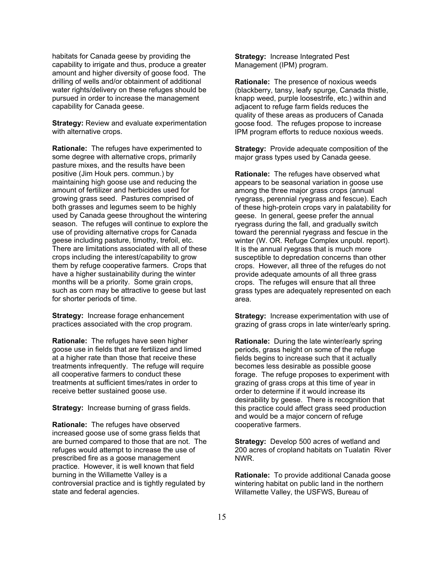habitats for Canada geese by providing the capability to irrigate and thus, produce a greater amount and higher diversity of goose food. The drilling of wells and/or obtainment of additional water rights/delivery on these refuges should be pursued in order to increase the management capability for Canada geese.

**Strategy:** Review and evaluate experimentation with alternative crops.

**Rationale:** The refuges have experimented to some degree with alternative crops, primarily pasture mixes, and the results have been positive (Jim Houk pers. commun.) by maintaining high goose use and reducing the amount of fertilizer and herbicides used for growing grass seed. Pastures comprised of both grasses and legumes seem to be highly used by Canada geese throughout the wintering season. The refuges will continue to explore the use of providing alternative crops for Canada geese including pasture, timothy, trefoil, etc. There are limitations associated with all of these crops including the interest/capability to grow them by refuge cooperative farmers. Crops that have a higher sustainability during the winter months will be a priority. Some grain crops, such as corn may be attractive to geese but last for shorter periods of time.

**Strategy:** Increase forage enhancement practices associated with the crop program.

**Rationale:** The refuges have seen higher goose use in fields that are fertilized and limed at a higher rate than those that receive these treatments infrequently. The refuge will require all cooperative farmers to conduct these treatments at sufficient times/rates in order to receive better sustained goose use.

**Strategy:** Increase burning of grass fields.

**Rationale:** The refuges have observed increased goose use of some grass fields that are burned compared to those that are not. The refuges would attempt to increase the use of prescribed fire as a goose management practice. However, it is well known that field burning in the Willamette Valley is a controversial practice and is tightly regulated by state and federal agencies.

**Strategy:** Increase Integrated Pest Management (IPM) program.

**Rationale:** The presence of noxious weeds (blackberry, tansy, leafy spurge, Canada thistle, knapp weed, purple loosestrife, etc.) within and adjacent to refuge farm fields reduces the quality of these areas as producers of Canada goose food. The refuges propose to increase IPM program efforts to reduce noxious weeds.

**Strategy:** Provide adequate composition of the major grass types used by Canada geese.

**Rationale:** The refuges have observed what appears to be seasonal variation in goose use among the three major grass crops (annual ryegrass, perennial ryegrass and fescue). Each of these high-protein crops vary in palatability for geese. In general, geese prefer the annual ryegrass during the fall, and gradually switch toward the perennial ryegrass and fescue in the winter (W. OR. Refuge Complex unpubl. report). It is the annual ryegrass that is much more susceptible to depredation concerns than other crops. However, all three of the refuges do not provide adequate amounts of all three grass crops. The refuges will ensure that all three grass types are adequately represented on each area.

**Strategy:** Increase experimentation with use of grazing of grass crops in late winter/early spring.

**Rationale:** During the late winter/early spring periods, grass height on some of the refuge fields begins to increase such that it actually becomes less desirable as possible goose forage. The refuge proposes to experiment with grazing of grass crops at this time of year in order to determine if it would increase its desirability by geese. There is recognition that this practice could affect grass seed production and would be a major concern of refuge cooperative farmers.

**Strategy:** Develop 500 acres of wetland and 200 acres of cropland habitats on Tualatin River NWR.

**Rationale:** To provide additional Canada goose wintering habitat on public land in the northern Willamette Valley, the USFWS, Bureau of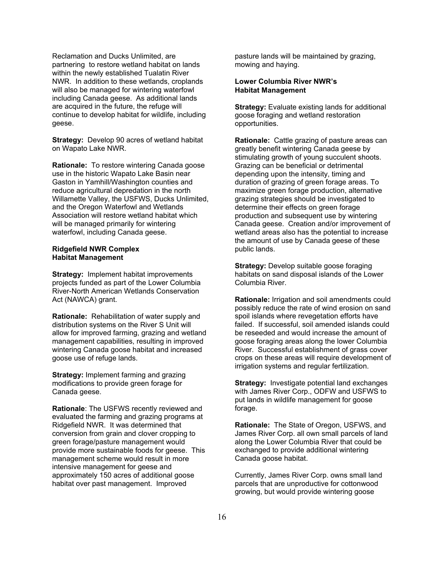Reclamation and Ducks Unlimited, are partnering to restore wetland habitat on lands within the newly established Tualatin River NWR. In addition to these wetlands, croplands will also be managed for wintering waterfowl including Canada geese. As additional lands are acquired in the future, the refuge will continue to develop habitat for wildlife, including geese.

**Strategy:** Develop 90 acres of wetland habitat on Wapato Lake NWR.

**Rationale:** To restore wintering Canada goose use in the historic Wapato Lake Basin near Gaston in Yamhill/Washington counties and reduce agricultural depredation in the north Willamette Valley, the USFWS, Ducks Unlimited, and the Oregon Waterfowl and Wetlands Association will restore wetland habitat which will be managed primarily for wintering waterfowl, including Canada geese.

#### **Ridgefield NWR Complex Habitat Management**

**Strategy:** Implement habitat improvements projects funded as part of the Lower Columbia River-North American Wetlands Conservation Act (NAWCA) grant.

**Rationale:** Rehabilitation of water supply and distribution systems on the River S Unit will allow for improved farming, grazing and wetland management capabilities, resulting in improved wintering Canada goose habitat and increased goose use of refuge lands.

**Strategy:** Implement farming and grazing modifications to provide green forage for Canada geese.

**Rationale**: The USFWS recently reviewed and evaluated the farming and grazing programs at Ridgefield NWR. It was determined that conversion from grain and clover cropping to green forage/pasture management would provide more sustainable foods for geese. This management scheme would result in more intensive management for geese and approximately 150 acres of additional goose habitat over past management. Improved

pasture lands will be maintained by grazing, mowing and haying.

#### **Lower Columbia River NWR's Habitat Management**

**Strategy:** Evaluate existing lands for additional goose foraging and wetland restoration opportunities.

**Rationale:** Cattle grazing of pasture areas can greatly benefit wintering Canada geese by stimulating growth of young succulent shoots. Grazing can be beneficial or detrimental depending upon the intensity, timing and duration of grazing of green forage areas. To maximize green forage production, alternative grazing strategies should be investigated to determine their effects on green forage production and subsequent use by wintering Canada geese. Creation and/or improvement of wetland areas also has the potential to increase the amount of use by Canada geese of these public lands.

**Strategy:** Develop suitable goose foraging habitats on sand disposal islands of the Lower Columbia River.

**Rationale:** Irrigation and soil amendments could possibly reduce the rate of wind erosion on sand spoil islands where revegetation efforts have failed. If successful, soil amended islands could be reseeded and would increase the amount of goose foraging areas along the lower Columbia River. Successful establishment of grass cover crops on these areas will require development of irrigation systems and regular fertilization.

**Strategy:** Investigate potential land exchanges with James River Corp., ODFW and USFWS to put lands in wildlife management for goose forage.

**Rationale:** The State of Oregon, USFWS, and James River Corp. all own small parcels of land along the Lower Columbia River that could be exchanged to provide additional wintering Canada goose habitat.

Currently, James River Corp. owns small land parcels that are unproductive for cottonwood growing, but would provide wintering goose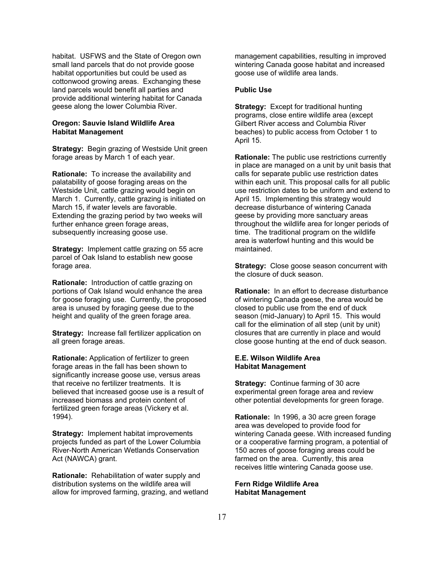habitat. USFWS and the State of Oregon own small land parcels that do not provide goose habitat opportunities but could be used as cottonwood growing areas. Exchanging these land parcels would benefit all parties and provide additional wintering habitat for Canada geese along the lower Columbia River.

#### **Oregon: Sauvie Island Wildlife Area Habitat Management**

**Strategy:** Begin grazing of Westside Unit green forage areas by March 1 of each year.

**Rationale:** To increase the availability and palatability of goose foraging areas on the Westside Unit, cattle grazing would begin on March 1. Currently, cattle grazing is initiated on March 15, if water levels are favorable. Extending the grazing period by two weeks will further enhance green forage areas, subsequently increasing goose use.

**Strategy:** Implement cattle grazing on 55 acre parcel of Oak Island to establish new goose forage area.

**Rationale:** Introduction of cattle grazing on portions of Oak Island would enhance the area for goose foraging use. Currently, the proposed area is unused by foraging geese due to the height and quality of the green forage area.

**Strategy:** Increase fall fertilizer application on all green forage areas.

**Rationale:** Application of fertilizer to green forage areas in the fall has been shown to significantly increase goose use, versus areas that receive no fertilizer treatments. It is believed that increased goose use is a result of increased biomass and protein content of fertilized green forage areas (Vickery et al. 1994).

**Strategy:** Implement habitat improvements projects funded as part of the Lower Columbia River-North American Wetlands Conservation Act (NAWCA) grant.

**Rationale:** Rehabilitation of water supply and distribution systems on the wildlife area will allow for improved farming, grazing, and wetland management capabilities, resulting in improved wintering Canada goose habitat and increased goose use of wildlife area lands.

#### **Public Use**

**Strategy:** Except for traditional hunting programs, close entire wildlife area (except Gilbert River access and Columbia River beaches) to public access from October 1 to April 15.

**Rationale:** The public use restrictions currently in place are managed on a unit by unit basis that calls for separate public use restriction dates within each unit. This proposal calls for all public use restriction dates to be uniform and extend to April 15. Implementing this strategy would decrease disturbance of wintering Canada geese by providing more sanctuary areas throughout the wildlife area for longer periods of time. The traditional program on the wildlife area is waterfowl hunting and this would be maintained.

**Strategy:** Close goose season concurrent with the closure of duck season.

**Rationale:** In an effort to decrease disturbance of wintering Canada geese, the area would be closed to public use from the end of duck season (mid-January) to April 15. This would call for the elimination of all step (unit by unit) closures that are currently in place and would close goose hunting at the end of duck season.

#### **E.E. Wilson Wildlife Area Habitat Management**

**Strategy:** Continue farming of 30 acre experimental green forage area and review other potential developments for green forage.

**Rationale:** In 1996, a 30 acre green forage area was developed to provide food for wintering Canada geese. With increased funding or a cooperative farming program, a potential of 150 acres of goose foraging areas could be farmed on the area. Currently, this area receives little wintering Canada goose use.

**Fern Ridge Wildlife Area Habitat Management**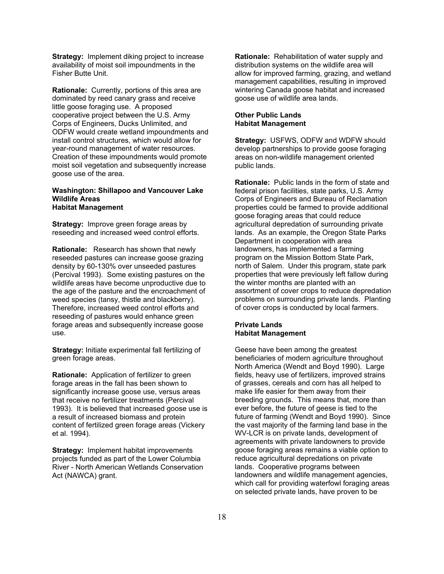**Strategy:** Implement diking project to increase availability of moist soil impoundments in the Fisher Butte Unit.

**Rationale:** Currently, portions of this area are dominated by reed canary grass and receive little goose foraging use. A proposed cooperative project between the U.S. Army Corps of Engineers, Ducks Unlimited, and ODFW would create wetland impoundments and install control structures, which would allow for year-round management of water resources. Creation of these impoundments would promote moist soil vegetation and subsequently increase goose use of the area.

#### **Washington: Shillapoo and Vancouver Lake Wildlife Areas Habitat Management**

**Strategy:** Improve green forage areas by reseeding and increased weed control efforts.

**Rationale:** Research has shown that newly reseeded pastures can increase goose grazing density by 60-130% over unseeded pastures (Percival 1993). Some existing pastures on the wildlife areas have become unproductive due to the age of the pasture and the encroachment of weed species (tansy, thistle and blackberry). Therefore, increased weed control efforts and reseeding of pastures would enhance green forage areas and subsequently increase goose use.

**Strategy:** Initiate experimental fall fertilizing of green forage areas.

**Rationale:** Application of fertilizer to green forage areas in the fall has been shown to significantly increase goose use, versus areas that receive no fertilizer treatments (Percival 1993). It is believed that increased goose use is a result of increased biomass and protein content of fertilized green forage areas (Vickery et al. 1994).

**Strategy:** Implement habitat improvements projects funded as part of the Lower Columbia River - North American Wetlands Conservation Act (NAWCA) grant.

**Rationale:** Rehabilitation of water supply and distribution systems on the wildlife area will allow for improved farming, grazing, and wetland management capabilities, resulting in improved wintering Canada goose habitat and increased goose use of wildlife area lands.

#### **Other Public Lands Habitat Management**

**Strategy:** USFWS, ODFW and WDFW should develop partnerships to provide goose foraging areas on non-wildlife management oriented public lands.

**Rationale:** Public lands in the form of state and federal prison facilities, state parks, U.S. Army Corps of Engineers and Bureau of Reclamation properties could be farmed to provide additional goose foraging areas that could reduce agricultural depredation of surrounding private lands. As an example, the Oregon State Parks Department in cooperation with area landowners, has implemented a farming program on the Mission Bottom State Park, north of Salem. Under this program, state park properties that were previously left fallow during the winter months are planted with an assortment of cover crops to reduce depredation problems on surrounding private lands. Planting of cover crops is conducted by local farmers.

#### **Private Lands Habitat Management**

Geese have been among the greatest beneficiaries of modern agriculture throughout North America (Wendt and Boyd 1990). Large fields, heavy use of fertilizers, improved strains of grasses, cereals and corn has all helped to make life easier for them away from their breeding grounds. This means that, more than ever before, the future of geese is tied to the future of farming (Wendt and Boyd 1990). Since the vast majority of the farming land base in the WV-LCR is on private lands, development of agreements with private landowners to provide goose foraging areas remains a viable option to reduce agricultural depredations on private lands. Cooperative programs between landowners and wildlife management agencies, which call for providing waterfowl foraging areas on selected private lands, have proven to be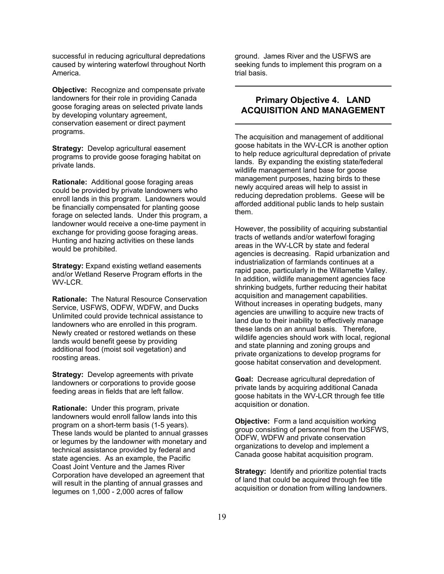successful in reducing agricultural depredations caused by wintering waterfowl throughout North America.

**Objective:** Recognize and compensate private landowners for their role in providing Canada goose foraging areas on selected private lands by developing voluntary agreement, conservation easement or direct payment programs.

**Strategy:** Develop agricultural easement programs to provide goose foraging habitat on private lands.

**Rationale:** Additional goose foraging areas could be provided by private landowners who enroll lands in this program. Landowners would be financially compensated for planting goose forage on selected lands. Under this program, a landowner would receive a one-time payment in exchange for providing goose foraging areas. Hunting and hazing activities on these lands would be prohibited.

**Strategy:** Expand existing wetland easements and/or Wetland Reserve Program efforts in the WV-LCR.

**Rationale:** The Natural Resource Conservation Service, USFWS, ODFW, WDFW, and Ducks Unlimited could provide technical assistance to landowners who are enrolled in this program. Newly created or restored wetlands on these lands would benefit geese by providing additional food (moist soil vegetation) and roosting areas.

**Strategy:** Develop agreements with private landowners or corporations to provide goose feeding areas in fields that are left fallow.

**Rationale:** Under this program, private landowners would enroll fallow lands into this program on a short-term basis (1-5 years). These lands would be planted to annual grasses or legumes by the landowner with monetary and technical assistance provided by federal and state agencies. As an example, the Pacific Coast Joint Venture and the James River Corporation have developed an agreement that will result in the planting of annual grasses and legumes on 1,000 - 2,000 acres of fallow

ground. James River and the USFWS are seeking funds to implement this program on a trial basis.

## **Primary Objective 4. LAND ACQUISITION AND MANAGEMENT**

The acquisition and management of additional goose habitats in the WV-LCR is another option to help reduce agricultural depredation of private lands. By expanding the existing state/federal wildlife management land base for goose management purposes, hazing birds to these newly acquired areas will help to assist in reducing depredation problems. Geese will be afforded additional public lands to help sustain them.

However, the possibility of acquiring substantial tracts of wetlands and/or waterfowl foraging areas in the WV-LCR by state and federal agencies is decreasing. Rapid urbanization and industrialization of farmlands continues at a rapid pace, particularly in the Willamette Valley. In addition, wildlife management agencies face shrinking budgets, further reducing their habitat acquisition and management capabilities. Without increases in operating budgets, many agencies are unwilling to acquire new tracts of land due to their inability to effectively manage these lands on an annual basis. Therefore, wildlife agencies should work with local, regional and state planning and zoning groups and private organizations to develop programs for goose habitat conservation and development.

**Goal:** Decrease agricultural depredation of private lands by acquiring additional Canada goose habitats in the WV-LCR through fee title acquisition or donation.

**Objective:** Form a land acquisition working group consisting of personnel from the USFWS, ODFW, WDFW and private conservation organizations to develop and implement a Canada goose habitat acquisition program.

**Strategy:** Identify and prioritize potential tracts of land that could be acquired through fee title acquisition or donation from willing landowners.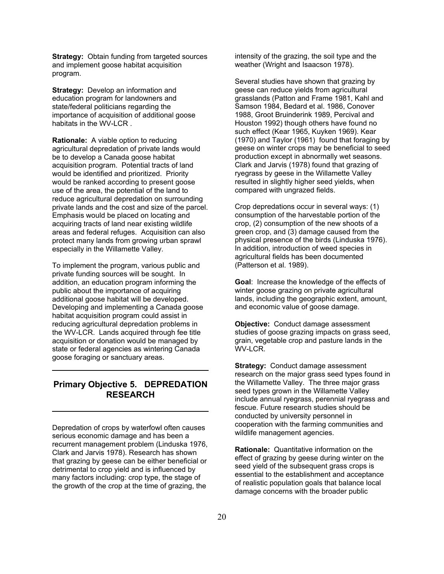**Strategy:** Obtain funding from targeted sources and implement goose habitat acquisition program.

**Strategy:** Develop an information and education program for landowners and state/federal politicians regarding the importance of acquisition of additional goose habitats in the WV-LCR .

**Rationale:** A viable option to reducing agricultural depredation of private lands would be to develop a Canada goose habitat acquisition program. Potential tracts of land would be identified and prioritized. Priority would be ranked according to present goose use of the area, the potential of the land to reduce agricultural depredation on surrounding private lands and the cost and size of the parcel. Emphasis would be placed on locating and acquiring tracts of land near existing wildlife areas and federal refuges. Acquisition can also protect many lands from growing urban sprawl especially in the Willamette Valley.

To implement the program, various public and private funding sources will be sought. In addition, an education program informing the public about the importance of acquiring additional goose habitat will be developed. Developing and implementing a Canada goose habitat acquisition program could assist in reducing agricultural depredation problems in the WV-LCR. Lands acquired through fee title acquisition or donation would be managed by state or federal agencies as wintering Canada goose foraging or sanctuary areas.

### **Primary Objective 5. DEPREDATION RESEARCH**

Depredation of crops by waterfowl often causes serious economic damage and has been a recurrent management problem (Linduska 1976, Clark and Jarvis 1978). Research has shown that grazing by geese can be either beneficial or detrimental to crop yield and is influenced by many factors including: crop type, the stage of the growth of the crop at the time of grazing, the

intensity of the grazing, the soil type and the weather (Wright and Isaacson 1978).

Several studies have shown that grazing by geese can reduce yields from agricultural grasslands (Patton and Frame 1981, Kahl and Samson 1984, Bedard et al. 1986, Conover 1988, Groot Bruinderink 1989, Percival and Houston 1992) though others have found no such effect (Kear 1965, Kuyken 1969). Kear (1970) and Taylor (1961) found that foraging by geese on winter crops may be beneficial to seed production except in abnormally wet seasons. Clark and Jarvis (1978) found that grazing of ryegrass by geese in the Willamette Valley resulted in slightly higher seed yields, when compared with ungrazed fields.

Crop depredations occur in several ways: (1) consumption of the harvestable portion of the crop, (2) consumption of the new shoots of a green crop, and (3) damage caused from the physical presence of the birds (Linduska 1976). In addition, introduction of weed species in agricultural fields has been documented (Patterson et al. 1989).

**Goal**: Increase the knowledge of the effects of winter goose grazing on private agricultural lands, including the geographic extent, amount, and economic value of goose damage.

**Objective:** Conduct damage assessment studies of goose grazing impacts on grass seed, grain, vegetable crop and pasture lands in the WV-LCR.

**Strategy:** Conduct damage assessment research on the major grass seed types found in the Willamette Valley. The three major grass seed types grown in the Willamette Valley include annual ryegrass, perennial ryegrass and fescue. Future research studies should be conducted by university personnel in cooperation with the farming communities and wildlife management agencies.

**Rationale:** Quantitative information on the effect of grazing by geese during winter on the seed yield of the subsequent grass crops is essential to the establishment and acceptance of realistic population goals that balance local damage concerns with the broader public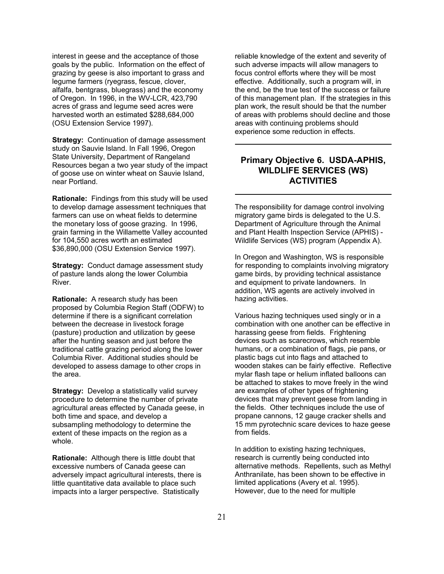interest in geese and the acceptance of those goals by the public. Information on the effect of grazing by geese is also important to grass and legume farmers (ryegrass, fescue, clover, alfalfa, bentgrass, bluegrass) and the economy of Oregon. In 1996, in the WV-LCR, 423,790 acres of grass and legume seed acres were harvested worth an estimated \$288,684,000 (OSU Extension Service 1997).

**Strategy:** Continuation of damage assessment study on Sauvie Island. In Fall 1996, Oregon State University, Department of Rangeland Resources began a two year study of the impact of goose use on winter wheat on Sauvie Island, near Portland.

**Rationale:** Findings from this study will be used to develop damage assessment techniques that farmers can use on wheat fields to determine the monetary loss of goose grazing. In 1996, grain farming in the Willamette Valley accounted for 104,550 acres worth an estimated \$36,890,000 (OSU Extension Service 1997).

**Strategy:** Conduct damage assessment study of pasture lands along the lower Columbia River.

**Rationale:** A research study has been proposed by Columbia Region Staff (ODFW) to determine if there is a significant correlation between the decrease in livestock forage (pasture) production and utilization by geese after the hunting season and just before the traditional cattle grazing period along the lower Columbia River. Additional studies should be developed to assess damage to other crops in the area.

**Strategy:** Develop a statistically valid survey procedure to determine the number of private agricultural areas effected by Canada geese, in both time and space, and develop a subsampling methodology to determine the extent of these impacts on the region as a whole.

**Rationale:** Although there is little doubt that excessive numbers of Canada geese can adversely impact agricultural interests, there is little quantitative data available to place such impacts into a larger perspective. Statistically

reliable knowledge of the extent and severity of such adverse impacts will allow managers to focus control efforts where they will be most effective. Additionally, such a program will, in the end, be the true test of the success or failure of this management plan. If the strategies in this plan work, the result should be that the number of areas with problems should decline and those areas with continuing problems should experience some reduction in effects.

## **Primary Objective 6. USDA-APHIS, WILDLIFE SERVICES (WS) ACTIVITIES**

The responsibility for damage control involving migratory game birds is delegated to the U.S. Department of Agriculture through the Animal and Plant Health Inspection Service (APHIS) - Wildlife Services (WS) program (Appendix A).

In Oregon and Washington, WS is responsible for responding to complaints involving migratory game birds, by providing technical assistance and equipment to private landowners. In addition, WS agents are actively involved in hazing activities.

Various hazing techniques used singly or in a combination with one another can be effective in harassing geese from fields. Frightening devices such as scarecrows, which resemble humans, or a combination of flags, pie pans, or plastic bags cut into flags and attached to wooden stakes can be fairly effective. Reflective mylar flash tape or helium inflated balloons can be attached to stakes to move freely in the wind are examples of other types of frightening devices that may prevent geese from landing in the fields. Other techniques include the use of propane cannons, 12 gauge cracker shells and 15 mm pyrotechnic scare devices to haze geese from fields.

In addition to existing hazing techniques, research is currently being conducted into alternative methods. Repellents, such as Methyl Anthranilate, has been shown to be effective in limited applications (Avery et al. 1995). However, due to the need for multiple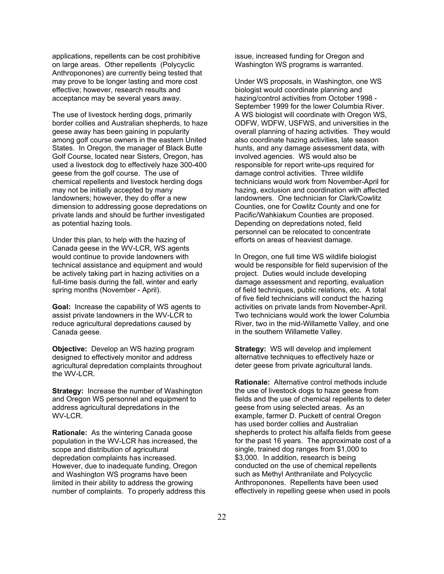applications, repellents can be cost prohibitive on large areas. Other repellents (Polycyclic Anthroponones) are currently being tested that may prove to be longer lasting and more cost effective; however, research results and acceptance may be several years away.

The use of livestock herding dogs, primarily border collies and Australian shepherds, to haze geese away has been gaining in popularity among golf course owners in the eastern United States. In Oregon, the manager of Black Butte Golf Course, located near Sisters, Oregon, has used a livestock dog to effectively haze 300-400 geese from the golf course. The use of chemical repellents and livestock herding dogs may not be initially accepted by many landowners; however, they do offer a new dimension to addressing goose depredations on private lands and should be further investigated as potential hazing tools.

Under this plan, to help with the hazing of Canada geese in the WV-LCR, WS agents would continue to provide landowners with technical assistance and equipment and would be actively taking part in hazing activities on a full-time basis during the fall, winter and early spring months (November - April).

**Goal:** Increase the capability of WS agents to assist private landowners in the WV-LCR to reduce agricultural depredations caused by Canada geese.

**Objective:** Develop an WS hazing program designed to effectively monitor and address agricultural depredation complaints throughout the WV-LCR.

**Strategy:** Increase the number of Washington and Oregon WS personnel and equipment to address agricultural depredations in the WV-LCR.

**Rationale:** As the wintering Canada goose population in the WV-LCR has increased, the scope and distribution of agricultural depredation complaints has increased. However, due to inadequate funding, Oregon and Washington WS programs have been limited in their ability to address the growing number of complaints. To properly address this issue, increased funding for Oregon and Washington WS programs is warranted.

Under WS proposals, in Washington, one WS biologist would coordinate planning and hazing/control activities from October 1998 - September 1999 for the lower Columbia River. A WS biologist will coordinate with Oregon WS, ODFW, WDFW, USFWS, and universities in the overall planning of hazing activities. They would also coordinate hazing activities, late season hunts, and any damage assessment data, with involved agencies. WS would also be responsible for report write-ups required for damage control activities. Three wildlife technicians would work from November-April for hazing, exclusion and coordination with affected landowners. One technician for Clark/Cowlitz Counties, one for Cowlitz County and one for Pacific/Wahkiakum Counties are proposed. Depending on depredations noted, field personnel can be relocated to concentrate efforts on areas of heaviest damage.

In Oregon, one full time WS wildlife biologist would be responsible for field supervision of the project. Duties would include developing damage assessment and reporting, evaluation of field techniques, public relations, etc. A total of five field technicians will conduct the hazing activities on private lands from November-April. Two technicians would work the lower Columbia River, two in the mid-Willamette Valley, and one in the southern Willamette Valley.

**Strategy:** WS will develop and implement alternative techniques to effectively haze or deter geese from private agricultural lands.

**Rationale:** Alternative control methods include the use of livestock dogs to haze geese from fields and the use of chemical repellents to deter geese from using selected areas. As an example, farmer D. Puckett of central Oregon has used border collies and Australian shepherds to protect his alfalfa fields from geese for the past 16 years. The approximate cost of a single, trained dog ranges from \$1,000 to \$3,000. In addition, research is being conducted on the use of chemical repellents such as Methyl Anthranilate and Polycyclic Anthroponones. Repellents have been used effectively in repelling geese when used in pools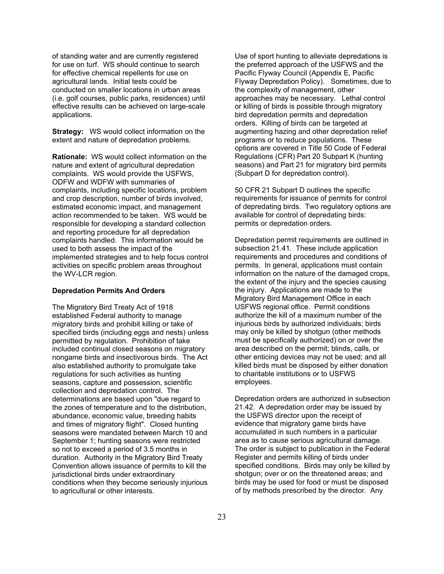of standing water and are currently registered for use on turf. WS should continue to search for effective chemical repellents for use on agricultural lands. Initial tests could be conducted on smaller locations in urban areas (i.e. golf courses, public parks, residences) until effective results can be achieved on large-scale applications.

**Strategy:** WS would collect information on the extent and nature of depredation problems.

**Rationale:** WS would collect information on the nature and extent of agricultural depredation complaints. WS would provide the USFWS, ODFW and WDFW with summaries of complaints, including specific locations, problem and crop description, number of birds involved, estimated economic impact, and management action recommended to be taken. WS would be responsible for developing a standard collection and reporting procedure for all depredation complaints handled. This information would be used to both assess the impact of the implemented strategies and to help focus control activities on specific problem areas throughout the WV-LCR region.

#### **Depredation Permits And Orders**

The Migratory Bird Treaty Act of 1918 established Federal authority to manage migratory birds and prohibit killing or take of specified birds (including eggs and nests) unless permitted by regulation. Prohibition of take included continual closed seasons on migratory nongame birds and insectivorous birds. The Act also established authority to promulgate take regulations for such activities as hunting seasons, capture and possession, scientific collection and depredation control. The determinations are based upon "due regard to the zones of temperature and to the distribution, abundance, economic value, breeding habits and times of migratory flight". Closed hunting seasons were mandated between March 10 and September 1; hunting seasons were restricted so not to exceed a period of 3.5 months in duration. Authority in the Migratory Bird Treaty Convention allows issuance of permits to kill the jurisdictional birds under extraordinary conditions when they become seriously injurious to agricultural or other interests.

Use of sport hunting to alleviate depredations is the preferred approach of the USFWS and the Pacific Flyway Council (Appendix E, Pacific Flyway Depredation Policy). Sometimes, due to the complexity of management, other approaches may be necessary. Lethal control or killing of birds is possible through migratory bird depredation permits and depredation orders. Killing of birds can be targeted at augmenting hazing and other depredation relief programs or to reduce populations. These options are covered in Title 50 Code of Federal Regulations (CFR) Part 20 Subpart K (hunting seasons) and Part 21 for migratory bird permits (Subpart D for depredation control).

50 CFR 21 Subpart D outlines the specific requirements for issuance of permits for control of depredating birds. Two regulatory options are available for control of depredating birds: permits or depredation orders.

Depredation permit requirements are outlined in subsection 21.41. These include application requirements and procedures and conditions of permits. In general, applications must contain information on the nature of the damaged crops, the extent of the injury and the species causing the injury. Applications are made to the Migratory Bird Management Office in each USFWS regional office. Permit conditions authorize the kill of a maximum number of the injurious birds by authorized individuals; birds may only be killed by shotgun (other methods must be specifically authorized) on or over the area described on the permit; blinds, calls, or other enticing devices may not be used; and all killed birds must be disposed by either donation to charitable institutions or to USFWS employees.

Depredation orders are authorized in subsection 21.42. A depredation order may be issued by the USFWS director upon the receipt of evidence that migratory game birds have accumulated in such numbers in a particular area as to cause serious agricultural damage. The order is subject to publication in the Federal Register and permits killing of birds under specified conditions. Birds may only be killed by shotgun; over or on the threatened areas; and birds may be used for food or must be disposed of by methods prescribed by the director. Any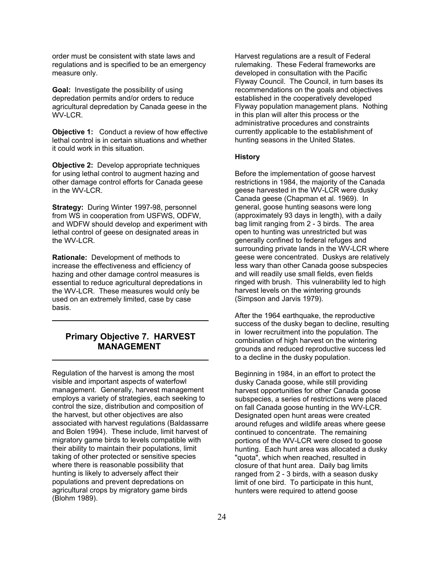order must be consistent with state laws and regulations and is specified to be an emergency measure only.

**Goal:** Investigate the possibility of using depredation permits and/or orders to reduce agricultural depredation by Canada geese in the WV-LCR.

**Objective 1:** Conduct a review of how effective lethal control is in certain situations and whether it could work in this situation.

**Objective 2:** Develop appropriate techniques for using lethal control to augment hazing and other damage control efforts for Canada geese in the WV-LCR.

**Strategy:** During Winter 1997-98, personnel from WS in cooperation from USFWS, ODFW, and WDFW should develop and experiment with lethal control of geese on designated areas in the WV-LCR.

**Rationale:** Development of methods to increase the effectiveness and efficiency of hazing and other damage control measures is essential to reduce agricultural depredations in the WV-LCR. These measures would only be used on an extremely limited, case by case basis.

## **Primary Objective 7. HARVEST MANAGEMENT**

Regulation of the harvest is among the most visible and important aspects of waterfowl management. Generally, harvest management employs a variety of strategies, each seeking to control the size, distribution and composition of the harvest, but other objectives are also associated with harvest regulations (Baldassarre and Bolen 1994). These include, limit harvest of migratory game birds to levels compatible with their ability to maintain their populations, limit taking of other protected or sensitive species where there is reasonable possibility that hunting is likely to adversely affect their populations and prevent depredations on agricultural crops by migratory game birds (Blohm 1989).

Harvest regulations are a result of Federal rulemaking. These Federal frameworks are developed in consultation with the Pacific Flyway Council. The Council, in turn bases its recommendations on the goals and objectives established in the cooperatively developed Flyway population management plans. Nothing in this plan will alter this process or the administrative procedures and constraints currently applicable to the establishment of hunting seasons in the United States.

#### **History**

Before the implementation of goose harvest restrictions in 1984, the majority of the Canada geese harvested in the WV-LCR were dusky Canada geese (Chapman et al. 1969). In general, goose hunting seasons were long (approximately 93 days in length), with a daily bag limit ranging from 2 - 3 birds. The area open to hunting was unrestricted but was generally confined to federal refuges and surrounding private lands in the WV-LCR where geese were concentrated. Duskys are relatively less wary than other Canada goose subspecies and will readily use small fields, even fields ringed with brush. This vulnerability led to high harvest levels on the wintering grounds (Simpson and Jarvis 1979).

After the 1964 earthquake, the reproductive success of the dusky began to decline, resulting in lower recruitment into the population. The combination of high harvest on the wintering grounds and reduced reproductive success led to a decline in the dusky population.

Beginning in 1984, in an effort to protect the dusky Canada goose, while still providing harvest opportunities for other Canada goose subspecies, a series of restrictions were placed on fall Canada goose hunting in the WV-LCR. Designated open hunt areas were created around refuges and wildlife areas where geese continued to concentrate. The remaining portions of the WV-LCR were closed to goose hunting. Each hunt area was allocated a dusky "quota", which when reached, resulted in closure of that hunt area. Daily bag limits ranged from 2 - 3 birds, with a season dusky limit of one bird. To participate in this hunt, hunters were required to attend goose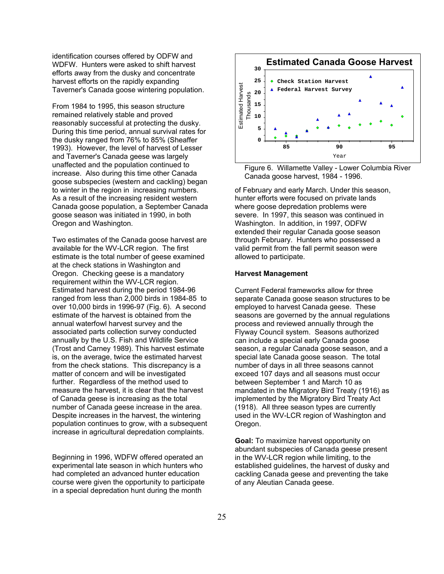identification courses offered by ODFW and WDFW. Hunters were asked to shift harvest efforts away from the dusky and concentrate harvest efforts on the rapidly expanding Taverner's Canada goose wintering population.

From 1984 to 1995, this season structure remained relatively stable and proved reasonably successful at protecting the dusky. During this time period, annual survival rates for the dusky ranged from 76% to 85% (Sheaffer 1993). However, the level of harvest of Lesser and Taverner's Canada geese was largely unaffected and the population continued to increase. Also during this time other Canada goose subspecies (western and cackling) began to winter in the region in increasing numbers. As a result of the increasing resident western Canada goose population, a September Canada goose season was initiated in 1990, in both Oregon and Washington.

Two estimates of the Canada goose harvest are available for the WV-LCR region. The first estimate is the total number of geese examined at the check stations in Washington and Oregon. Checking geese is a mandatory requirement within the WV-LCR region. Estimated harvest during the period 1984-96 ranged from less than 2,000 birds in 1984-85 to over 10,000 birds in 1996-97 (Fig. 6). A second estimate of the harvest is obtained from the annual waterfowl harvest survey and the associated parts collection survey conducted annually by the U.S. Fish and Wildlife Service (Trost and Carney 1989). This harvest estimate is, on the average, twice the estimated harvest from the check stations. This discrepancy is a matter of concern and will be investigated further. Regardless of the method used to measure the harvest, it is clear that the harvest of Canada geese is increasing as the total number of Canada geese increase in the area. Despite increases in the harvest, the wintering population continues to grow, with a subsequent increase in agricultural depredation complaints.

Beginning in 1996, WDFW offered operated an experimental late season in which hunters who had completed an advanced hunter education course were given the opportunity to participate in a special depredation hunt during the month



Figure 6. Willamette Valley - Lower Columbia River Canada goose harvest, 1984 - 1996.

of February and early March. Under this season, hunter efforts were focused on private lands where goose depredation problems were severe. In 1997, this season was continued in Washington. In addition, in 1997, ODFW extended their regular Canada goose season through February. Hunters who possessed a valid permit from the fall permit season were allowed to participate.

#### **Harvest Management**

Current Federal frameworks allow for three separate Canada goose season structures to be employed to harvest Canada geese. These seasons are governed by the annual regulations process and reviewed annually through the Flyway Council system. Seasons authorized can include a special early Canada goose season, a regular Canada goose season, and a special late Canada goose season. The total number of days in all three seasons cannot exceed 107 days and all seasons must occur between September 1 and March 10 as mandated in the Migratory Bird Treaty (1916) as implemented by the Migratory Bird Treaty Act (1918). All three season types are currently used in the WV-LCR region of Washington and Oregon.

**Goal:** To maximize harvest opportunity on abundant subspecies of Canada geese present in the WV-LCR region while limiting, to the established guidelines, the harvest of dusky and cackling Canada geese and preventing the take of any Aleutian Canada geese.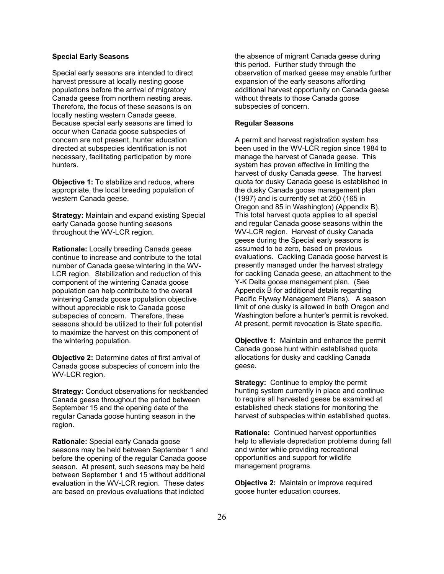#### **Special Early Seasons**

Special early seasons are intended to direct harvest pressure at locally nesting goose populations before the arrival of migratory Canada geese from northern nesting areas. Therefore, the focus of these seasons is on locally nesting western Canada geese. Because special early seasons are timed to occur when Canada goose subspecies of concern are not present, hunter education directed at subspecies identification is not necessary, facilitating participation by more hunters.

**Objective 1:** To stabilize and reduce, where appropriate, the local breeding population of western Canada geese.

**Strategy:** Maintain and expand existing Special early Canada goose hunting seasons throughout the WV-LCR region.

**Rationale:** Locally breeding Canada geese continue to increase and contribute to the total number of Canada geese wintering in the WV-LCR region. Stabilization and reduction of this component of the wintering Canada goose population can help contribute to the overall wintering Canada goose population objective without appreciable risk to Canada goose subspecies of concern. Therefore, these seasons should be utilized to their full potential to maximize the harvest on this component of the wintering population.

**Objective 2:** Determine dates of first arrival of Canada goose subspecies of concern into the WV-LCR region.

**Strategy:** Conduct observations for neckbanded Canada geese throughout the period between September 15 and the opening date of the regular Canada goose hunting season in the region.

**Rationale:** Special early Canada goose seasons may be held between September 1 and before the opening of the regular Canada goose season. At present, such seasons may be held between September 1 and 15 without additional evaluation in the WV-LCR region. These dates are based on previous evaluations that indicted

the absence of migrant Canada geese during this period. Further study through the observation of marked geese may enable further expansion of the early seasons affording additional harvest opportunity on Canada geese without threats to those Canada goose subspecies of concern.

#### **Regular Seasons**

A permit and harvest registration system has been used in the WV-LCR region since 1984 to manage the harvest of Canada geese. This system has proven effective in limiting the harvest of dusky Canada geese. The harvest quota for dusky Canada geese is established in the dusky Canada goose management plan (1997) and is currently set at 250 (165 in Oregon and 85 in Washington) (Appendix B). This total harvest quota applies to all special and regular Canada goose seasons within the WV-LCR region. Harvest of dusky Canada geese during the Special early seasons is assumed to be zero, based on previous evaluations. Cackling Canada goose harvest is presently managed under the harvest strategy for cackling Canada geese, an attachment to the Y-K Delta goose management plan. (See Appendix B for additional details regarding Pacific Flyway Management Plans). A season limit of one dusky is allowed in both Oregon and Washington before a hunter's permit is revoked. At present, permit revocation is State specific.

**Objective 1:** Maintain and enhance the permit Canada goose hunt within established quota allocations for dusky and cackling Canada geese.

**Strategy:** Continue to employ the permit hunting system currently in place and continue to require all harvested geese be examined at established check stations for monitoring the harvest of subspecies within established quotas.

**Rationale:** Continued harvest opportunities help to alleviate depredation problems during fall and winter while providing recreational opportunities and support for wildlife management programs.

**Objective 2:** Maintain or improve required goose hunter education courses.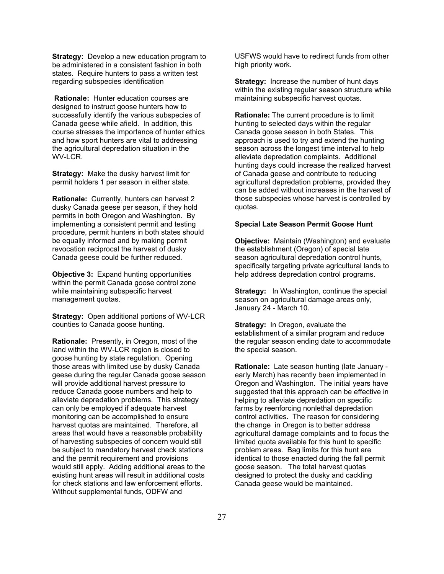**Strategy:** Develop a new education program to be administered in a consistent fashion in both states. Require hunters to pass a written test regarding subspecies identification

**Rationale:** Hunter education courses are designed to instruct goose hunters how to successfully identify the various subspecies of Canada geese while afield. In addition, this course stresses the importance of hunter ethics and how sport hunters are vital to addressing the agricultural depredation situation in the WV-LCR.

**Strategy:** Make the dusky harvest limit for permit holders 1 per season in either state.

**Rationale:** Currently, hunters can harvest 2 dusky Canada geese per season, if they hold permits in both Oregon and Washington. By implementing a consistent permit and testing procedure, permit hunters in both states should be equally informed and by making permit revocation reciprocal the harvest of dusky Canada geese could be further reduced.

**Objective 3:** Expand hunting opportunities within the permit Canada goose control zone while maintaining subspecific harvest management quotas.

**Strategy:** Open additional portions of WV-LCR counties to Canada goose hunting.

**Rationale:** Presently, in Oregon, most of the land within the WV-LCR region is closed to goose hunting by state regulation. Opening those areas with limited use by dusky Canada geese during the regular Canada goose season will provide additional harvest pressure to reduce Canada goose numbers and help to alleviate depredation problems. This strategy can only be employed if adequate harvest monitoring can be accomplished to ensure harvest quotas are maintained. Therefore, all areas that would have a reasonable probability of harvesting subspecies of concern would still be subject to mandatory harvest check stations and the permit requirement and provisions would still apply. Adding additional areas to the existing hunt areas will result in additional costs for check stations and law enforcement efforts. Without supplemental funds, ODFW and

USFWS would have to redirect funds from other high priority work.

**Strategy:** Increase the number of hunt days within the existing regular season structure while maintaining subspecific harvest quotas.

**Rationale:** The current procedure is to limit hunting to selected days within the regular Canada goose season in both States. This approach is used to try and extend the hunting season across the longest time interval to help alleviate depredation complaints. Additional hunting days could increase the realized harvest of Canada geese and contribute to reducing agricultural depredation problems, provided they can be added without increases in the harvest of those subspecies whose harvest is controlled by quotas.

#### **Special Late Season Permit Goose Hunt**

**Objective:** Maintain (Washington) and evaluate the establishment (Oregon) of special late season agricultural depredation control hunts, specifically targeting private agricultural lands to help address depredation control programs.

**Strategy:** In Washington, continue the special season on agricultural damage areas only, January 24 - March 10.

**Strategy:** In Oregon, evaluate the establishment of a similar program and reduce the regular season ending date to accommodate the special season.

**Rationale:** Late season hunting (late January early March) has recently been implemented in Oregon and Washington. The initial years have suggested that this approach can be effective in helping to alleviate depredation on specific farms by reenforcing nonlethal depredation control activities. The reason for considering the change in Oregon is to better address agricultural damage complaints and to focus the limited quota available for this hunt to specific problem areas. Bag limits for this hunt are identical to those enacted during the fall permit goose season. The total harvest quotas designed to protect the dusky and cackling Canada geese would be maintained.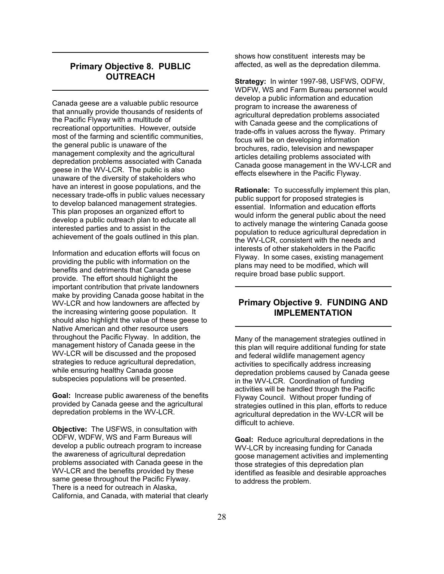## **Primary Objective 8. PUBLIC OUTREACH**

Canada geese are a valuable public resource that annually provide thousands of residents of the Pacific Flyway with a multitude of recreational opportunities. However, outside most of the farming and scientific communities, the general public is unaware of the management complexity and the agricultural depredation problems associated with Canada geese in the WV-LCR. The public is also unaware of the diversity of stakeholders who have an interest in goose populations, and the necessary trade-offs in public values necessary to develop balanced management strategies. This plan proposes an organized effort to develop a public outreach plan to educate all interested parties and to assist in the achievement of the goals outlined in this plan.

Information and education efforts will focus on providing the public with information on the benefits and detriments that Canada geese provide. The effort should highlight the important contribution that private landowners make by providing Canada goose habitat in the WV-LCR and how landowners are affected by the increasing wintering goose population. It should also highlight the value of these geese to Native American and other resource users throughout the Pacific Flyway. In addition, the management history of Canada geese in the WV-LCR will be discussed and the proposed strategies to reduce agricultural depredation, while ensuring healthy Canada goose subspecies populations will be presented.

**Goal:** Increase public awareness of the benefits provided by Canada geese and the agricultural depredation problems in the WV-LCR.

**Objective:** The USFWS, in consultation with ODFW, WDFW, WS and Farm Bureaus will develop a public outreach program to increase the awareness of agricultural depredation problems associated with Canada geese in the WV-LCR and the benefits provided by these same geese throughout the Pacific Flyway. There is a need for outreach in Alaska, California, and Canada, with material that clearly shows how constituent interests may be affected, as well as the depredation dilemma.

**Strategy:** In winter 1997-98, USFWS, ODFW, WDFW, WS and Farm Bureau personnel would develop a public information and education program to increase the awareness of agricultural depredation problems associated with Canada geese and the complications of trade-offs in values across the flyway. Primary focus will be on developing information brochures, radio, television and newspaper articles detailing problems associated with Canada goose management in the WV-LCR and effects elsewhere in the Pacific Flyway.

**Rationale:** To successfully implement this plan, public support for proposed strategies is essential. Information and education efforts would inform the general public about the need to actively manage the wintering Canada goose population to reduce agricultural depredation in the WV-LCR, consistent with the needs and interests of other stakeholders in the Pacific Flyway. In some cases, existing management plans may need to be modified, which will require broad base public support.

### **Primary Objective 9. FUNDING AND IMPLEMENTATION**

Many of the management strategies outlined in this plan will require additional funding for state and federal wildlife management agency activities to specifically address increasing depredation problems caused by Canada geese in the WV-LCR. Coordination of funding activities will be handled through the Pacific Flyway Council. Without proper funding of strategies outlined in this plan, efforts to reduce agricultural depredation in the WV-LCR will be difficult to achieve.

**Goal:** Reduce agricultural depredations in the WV-LCR by increasing funding for Canada goose management activities and implementing those strategies of this depredation plan identified as feasible and desirable approaches to address the problem.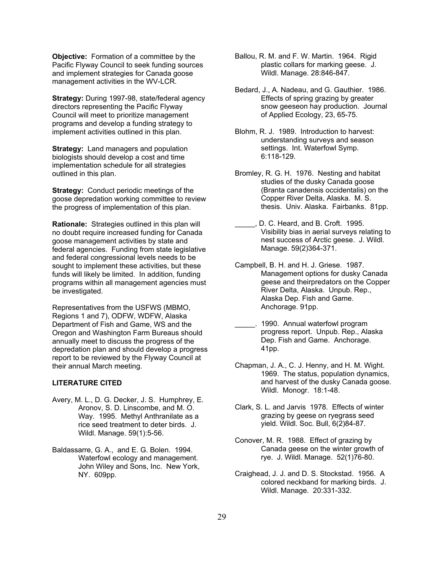**Objective:** Formation of a committee by the Pacific Flyway Council to seek funding sources and implement strategies for Canada goose management activities in the WV-LCR.

**Strategy:** During 1997-98, state/federal agency directors representing the Pacific Flyway Council will meet to prioritize management programs and develop a funding strategy to implement activities outlined in this plan.

**Strategy:** Land managers and population biologists should develop a cost and time implementation schedule for all strategies outlined in this plan.

**Strategy:** Conduct periodic meetings of the goose depredation working committee to review the progress of implementation of this plan.

**Rationale:** Strategies outlined in this plan will no doubt require increased funding for Canada goose management activities by state and federal agencies. Funding from state legislative and federal congressional levels needs to be sought to implement these activities, but these funds will likely be limited. In addition, funding programs within all management agencies must be investigated.

Representatives from the USFWS (MBMO, Regions 1 and 7), ODFW, WDFW, Alaska Department of Fish and Game, WS and the Oregon and Washington Farm Bureaus should annually meet to discuss the progress of the depredation plan and should develop a progress report to be reviewed by the Flyway Council at their annual March meeting.

#### **LITERATURE CITED**

- Avery, M. L., D. G. Decker, J. S. Humphrey, E. Aronov, S. D. Linscombe, and M. O. Way. 1995. Methyl Anthranilate as a rice seed treatment to deter birds. J. Wildl. Manage. 59(1):5-56.
- Baldassarre, G. A., and E. G. Bolen. 1994. Waterfowl ecology and management. John Wiley and Sons, Inc. New York, NY. 609pp.
- Ballou, R. M. and F. W. Martin. 1964. Rigid plastic collars for marking geese. J. Wildl. Manage. 28:846-847.
- Bedard, J., A. Nadeau, and G. Gauthier. 1986. Effects of spring grazing by greater snow geeseon hay production. Journal of Applied Ecology, 23, 65-75.
- Blohm, R. J. 1989. Introduction to harvest: understanding surveys and season settings. Int. Waterfowl Symp. 6:118-129.
- Bromley, R. G. H. 1976. Nesting and habitat studies of the dusky Canada goose (Branta canadensis occidentalis) on the Copper River Delta, Alaska. M. S. thesis. Univ. Alaska. Fairbanks. 81pp.
- D. C. Heard, and B. Croft. 1995. Visibility bias in aerial surveys relating to nest success of Arctic geese. J. Wildl. Manage. 59(2)364-371.
- Campbell, B. H. and H. J. Griese. 1987. Management options for dusky Canada geese and theirpredators on the Copper River Delta, Alaska. Unpub. Rep., Alaska Dep. Fish and Game. Anchorage. 91pp.
- \_\_\_\_\_. 1990. Annual waterfowl program progress report. Unpub. Rep., Alaska Dep. Fish and Game. Anchorage. 41pp.
- Chapman, J. A., C. J. Henny, and H. M. Wight. 1969. The status, population dynamics, and harvest of the dusky Canada goose. Wildl. Monogr. 18:1-48.
- Clark, S. L. and Jarvis 1978. Effects of winter grazing by geese on ryegrass seed yield. Wildl. Soc. Bull, 6(2)84-87.
- Conover, M. R. 1988. Effect of grazing by Canada geese on the winter growth of rye. J. Wildl. Manage. 52(1)76-80.
- Craighead, J. J. and D. S. Stockstad. 1956. A colored neckband for marking birds. J. Wildl. Manage. 20:331-332.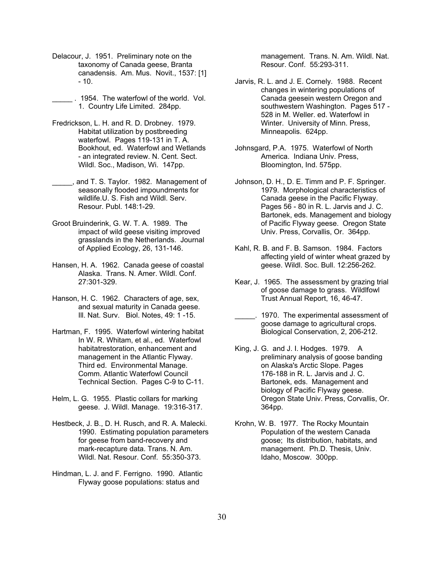- Delacour, J. 1951. Preliminary note on the taxonomy of Canada geese, Branta canadensis. Am. Mus. Novit., 1537: [1]  $-10.$
- \_\_\_\_\_ . 1954. The waterfowl of the world. Vol. 1. Country Life Limited. 284pp.
- Fredrickson, L. H. and R. D. Drobney. 1979. Habitat utilization by postbreeding waterfowl. Pages 119-131 in T. A. Bookhout, ed. Waterfowl and Wetlands - an integrated review. N. Cent. Sect. Wildl. Soc., Madison, Wi. 147pp.
- and T. S. Taylor. 1982. Management of seasonally flooded impoundments for wildlife.U. S. Fish and Wildl. Serv. Resour. Publ. 148:1-29.
- Groot Bruinderink, G. W. T. A. 1989. The impact of wild geese visiting improved grasslands in the Netherlands. Journal of Applied Ecology, 26, 131-146.
- Hansen, H. A. 1962. Canada geese of coastal Alaska. Trans. N. Amer. Wildl. Conf. 27:301-329.
- Hanson, H. C. 1962. Characters of age, sex, and sexual maturity in Canada geese. Ill. Nat. Surv. Biol. Notes, 49: 1 -15.
- Hartman, F. 1995. Waterfowl wintering habitat In W. R. Whitam, et al., ed. Waterfowl habitatrestoration, enhancement and management in the Atlantic Flyway. Third ed. Environmental Manage. Comm. Atlantic Waterfowl Council Technical Section. Pages C-9 to C-11.
- Helm, L. G. 1955. Plastic collars for marking geese. J. Wildl. Manage. 19:316-317.
- Hestbeck, J. B., D. H. Rusch, and R. A. Malecki. 1990. Estimating population parameters for geese from band-recovery and mark-recapture data. Trans. N. Am. Wildl. Nat. Resour. Conf. 55:350-373.
- Hindman, L. J. and F. Ferrigno. 1990. Atlantic Flyway goose populations: status and

management. Trans. N. Am. Wildl. Nat. Resour. Conf. 55:293-311.

- Jarvis, R. L. and J. E. Cornely. 1988. Recent changes in wintering populations of Canada geesein western Oregon and southwestern Washington. Pages 517 - 528 in M. Weller. ed. Waterfowl in Winter. University of Minn. Press, Minneapolis. 624pp.
- Johnsgard, P.A. 1975. Waterfowl of North America. Indiana Univ. Press, Bloomington, Ind. 575pp.
- Johnson, D. H., D. E. Timm and P. F. Springer. 1979. Morphological characteristics of Canada geese in the Pacific Flyway. Pages 56 - 80 in R. L. Jarvis and J. C. Bartonek, eds. Management and biology of Pacific Flyway geese. Oregon State Univ. Press, Corvallis, Or. 364pp.
- Kahl, R. B. and F. B. Samson. 1984. Factors affecting yield of winter wheat grazed by geese. Wildl. Soc. Bull. 12:256-262.
- Kear, J. 1965. The assessment by grazing trial of goose damage to grass. Wildlfowl Trust Annual Report, 16, 46-47.
- \_\_\_\_\_. 1970. The experimental assessment of goose damage to agricultural crops. Biological Conservation, 2, 206-212.
- King, J. G. and J. I. Hodges. 1979. A preliminary analysis of goose banding on Alaska's Arctic Slope. Pages 176-188 in R. L. Jarvis and J. C. Bartonek, eds. Management and biology of Pacific Flyway geese. Oregon State Univ. Press, Corvallis, Or. 364pp.
- Krohn, W. B. 1977. The Rocky Mountain Population of the western Canada goose; Its distribution, habitats, and management. Ph.D. Thesis, Univ. Idaho, Moscow. 300pp.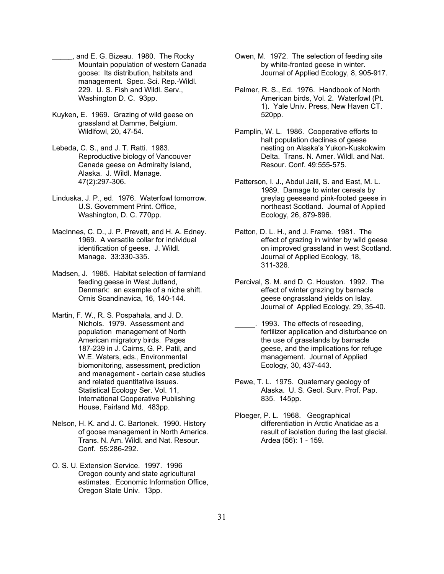- \_\_\_\_\_, and E. G. Bizeau. 1980. The Rocky Mountain population of western Canada goose: Its distribution, habitats and management. Spec. Sci. Rep.-Wildl. 229. U. S. Fish and Wildl. Serv., Washington D. C. 93pp.
- Kuyken, E. 1969. Grazing of wild geese on grassland at Damme, Belgium. Wildlfowl, 20, 47-54.
- Lebeda, C. S., and J. T. Ratti. 1983. Reproductive biology of Vancouver Canada geese on Admiralty Island, Alaska. J. Wildl. Manage. 47(2):297-306.
- Linduska, J. P., ed. 1976. Waterfowl tomorrow. U.S. Government Print. Office, Washington, D. C. 770pp.
- MacInnes, C. D., J. P. Prevett, and H. A. Edney. 1969. A versatile collar for individual identification of geese. J. Wildl. Manage. 33:330-335.
- Madsen, J. 1985. Habitat selection of farmland feeding geese in West Jutland, Denmark: an example of a niche shift. Ornis Scandinavica, 16, 140-144.
- Martin, F. W., R. S. Pospahala, and J. D. Nichols. 1979. Assessment and population management of North American migratory birds. Pages 187-239 in J. Cairns, G. P. Patil, and W.E. Waters, eds., Environmental biomonitoring, assessment, prediction and management - certain case studies and related quantitative issues. Statistical Ecology Ser. Vol. 11, International Cooperative Publishing House, Fairland Md. 483pp.
- Nelson, H. K. and J. C. Bartonek. 1990. History of goose management in North America. Trans. N. Am. Wildl. and Nat. Resour. Conf. 55:286-292.
- O. S. U. Extension Service. 1997. 1996 Oregon county and state agricultural estimates. Economic Information Office, Oregon State Univ. 13pp.
- Owen, M. 1972. The selection of feeding site by white-fronted geese in winter. Journal of Applied Ecology, 8, 905-917.
- Palmer, R. S., Ed. 1976. Handbook of North American birds, Vol. 2. Waterfowl (Pt. 1). Yale Univ. Press, New Haven CT. 520pp.
- Pamplin, W. L. 1986. Cooperative efforts to halt population declines of geese nesting on Alaska's Yukon-Kuskokwim Delta. Trans. N. Amer. Wildl. and Nat. Resour. Conf. 49:555-575.
- Patterson, I. J., Abdul Jalil, S. and East, M. L. 1989. Damage to winter cereals by greylag geeseand pink-footed geese in northeast Scotland. Journal of Applied Ecology, 26, 879-896.
- Patton, D. L. H., and J. Frame. 1981. The effect of grazing in winter by wild geese on improved grassland in west Scotland. Journal of Applied Ecology, 18, 311-326.
- Percival, S. M. and D. C. Houston. 1992. The effect of winter grazing by barnacle geese ongrassland yields on Islay. Journal of Applied Ecology, 29, 35-40.
- \_\_\_\_\_. 1993. The effects of reseeding, fertilizer application and disturbance on the use of grasslands by barnacle geese, and the implications for refuge management. Journal of Applied Ecology, 30, 437-443.
- Pewe, T. L. 1975. Quaternary geology of Alaska. U. S. Geol. Surv. Prof. Pap. 835. 145pp.
- Ploeger, P. L. 1968. Geographical differentiation in Arctic Anatidae as a result of isolation during the last glacial. Ardea (56): 1 - 159.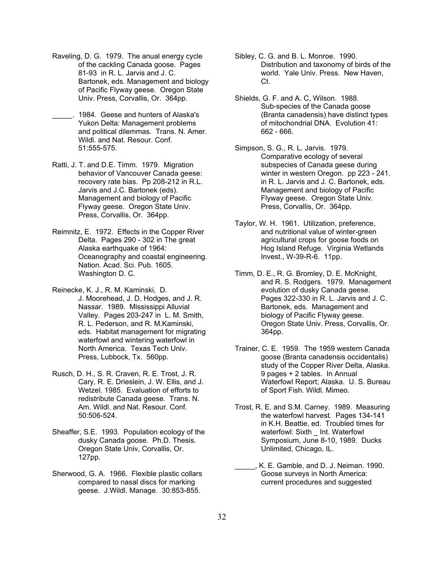- Raveling, D. G. 1979. The anual energy cycle of the cackling Canada goose. Pages 81-93 in R. L. Jarvis and J. C. Bartonek, eds. Management and biology of Pacific Flyway geese. Oregon State Univ. Press, Corvallis, Or. 364pp.
- \_\_\_\_\_. 1984. Geese and hunters of Alaska's Yukon Delta: Management problems and political dilemmas. Trans. N. Amer. Wildl. and Nat. Resour. Conf. 51:555-575.
- Ratti, J. T. and D.E. Timm. 1979. Migration behavior of Vancouver Canada geese: recovery rate bias. Pp 208-212 in R.L. Jarvis and J.C. Bartonek (eds). Management and biology of Pacific Flyway geese. Oregon State Univ. Press, Corvallis, Or. 364pp.
- Reimnitz, E. 1972. Effects in the Copper River Delta. Pages 290 - 302 in The great Alaska earthquake of 1964: Oceanography and coastal engineering. Nation. Acad. Sci. Pub. 1605. Washington D. C.
- Reinecke, K. J., R. M. Kaminski, D. J. Moorehead, J. D. Hodges, and J. R. Nassar. 1989. Mississippi Alluvial Valley. Pages 203-247 in L. M. Smith, R. L. Pederson, and R. M.Kaminski, eds. Habitat management for migrating waterfowl and wintering waterfowl in North America. Texas Tech Univ. Press, Lubbock, Tx. 560pp.
- Rusch, D. H., S. R. Craven, R. E. Trost, J. R. Cary, R. E. Drieslein, J. W. Ellis, and J. Wetzel. 1985. Evaluation of efforts to redistribute Canada geese. Trans. N. Am. Wildl. and Nat. Resour. Conf. 50:506-524.
- Sheaffer, S.E. 1993. Population ecology of the dusky Canada goose. Ph.D. Thesis. Oregon State Univ, Corvallis, Or. 127pp.
- Sherwood, G. A. 1966. Flexible plastic collars compared to nasal discs for marking geese. J.Wildl. Manage. 30:853-855.
- Sibley, C. G. and B. L. Monroe. 1990. Distribution and taxonomy of birds of the world. Yale Univ. Press. New Haven, Ct.
- Shields, G. F. and A. C, Wilson. 1988. Sub-species of the Canada goose (Branta canadensis) have distinct types of mitochondrial DNA. Evolution 41: 662 - 666.
- Simpson, S. G., R. L. Jarvis. 1979. Comparative ecology of several subspecies of Canada geese during winter in western Oregon. pp 223 - 241. in R. L. Jarvis and J. C. Bartonek, eds. Management and biology of Pacific Flyway geese. Oregon State Univ. Press, Corvallis, Or. 364pp.
- Taylor, W. H. 1961. Utilization, preference, and nutritional value of winter-green agricultural crops for goose foods on Hog Island Refuge. Virginia Wetlands Invest., W-39-R-6. 11pp.
- Timm, D. E., R. G. Bromley, D. E. McKnight, and R. S. Rodgers. 1979. Management evolution of dusky Canada geese. Pages 322-330 in R. L. Jarvis and J. C. Bartonek, eds. Management and biology of Pacific Flyway geese. Oregon State Univ. Press, Corvallis, Or. 364pp.
- Trainer, C. E. 1959. The 1959 western Canada goose (Branta canadensis occidentalis) study of the Copper River Delta, Alaska. 9 pages + 2 tables. In Annual Waterfowl Report; Alaska. U. S. Bureau of Sport Fish. Wildl. Mimeo.
- Trost, R. E. and S.M. Carney. 1989. Measuring the waterfowl harvest. Pages 134-141 in K.H. Beattie, ed. Troubled times for waterfowl: Sixth Int. Waterfowl Symposium, June 8-10, 1989. Ducks Unlimited, Chicago, IL.
- \_\_\_\_\_, K. E. Gamble, and D. J. Neiman. 1990. Goose surveys in North America: current procedures and suggested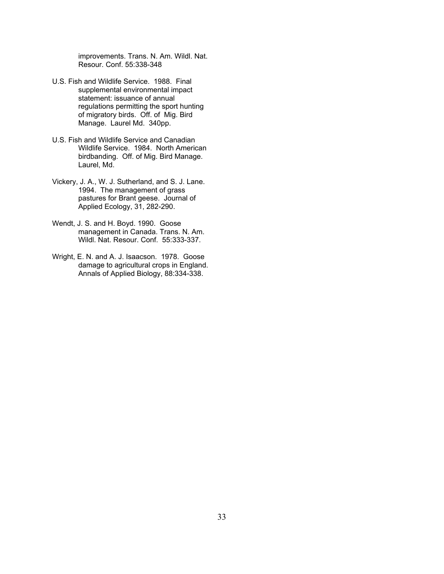improvements. Trans. N. Am. Wildl. Nat. Resour. Conf. 55:338-348

- U.S. Fish and Wildlife Service. 1988. Final supplemental environmental impact statement: issuance of annual regulations permitting the sport hunting of migratory birds. Off. of Mig. Bird Manage. Laurel Md. 340pp.
- U.S. Fish and Wildlife Service and Canadian Wildlife Service. 1984. North American birdbanding. Off. of Mig. Bird Manage. Laurel, Md.
- Vickery, J. A., W. J. Sutherland, and S. J. Lane. 1994. The management of grass pastures for Brant geese. Journal of Applied Ecology, 31, 282-290.
- Wendt, J. S. and H. Boyd. 1990. Goose management in Canada. Trans. N. Am. Wildl. Nat. Resour. Conf. 55:333-337.
- Wright, E. N. and A. J. Isaacson. 1978. Goose damage to agricultural crops in England. Annals of Applied Biology, 88:334-338.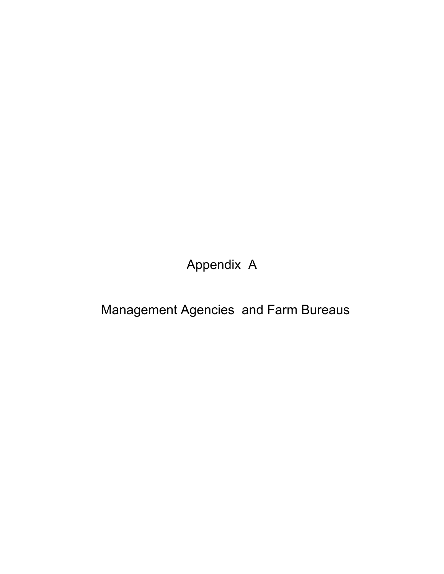Appendix A

Management Agencies and Farm Bureaus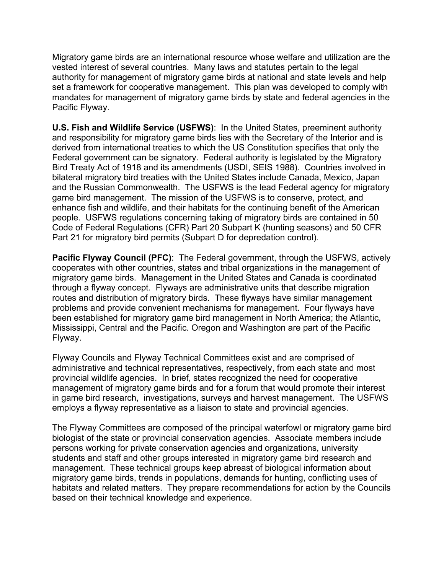Migratory game birds are an international resource whose welfare and utilization are the vested interest of several countries. Many laws and statutes pertain to the legal authority for management of migratory game birds at national and state levels and help set a framework for cooperative management. This plan was developed to comply with mandates for management of migratory game birds by state and federal agencies in the Pacific Flyway.

**U.S. Fish and Wildlife Service (USFWS)**: In the United States, preeminent authority and responsibility for migratory game birds lies with the Secretary of the Interior and is derived from international treaties to which the US Constitution specifies that only the Federal government can be signatory. Federal authority is legislated by the Migratory Bird Treaty Act of 1918 and its amendments (USDI, SEIS 1988). Countries involved in bilateral migratory bird treaties with the United States include Canada, Mexico, Japan and the Russian Commonwealth. The USFWS is the lead Federal agency for migratory game bird management. The mission of the USFWS is to conserve, protect, and enhance fish and wildlife, and their habitats for the continuing benefit of the American people. USFWS regulations concerning taking of migratory birds are contained in 50 Code of Federal Regulations (CFR) Part 20 Subpart K (hunting seasons) and 50 CFR Part 21 for migratory bird permits (Subpart D for depredation control).

**Pacific Flyway Council (PFC)**: The Federal government, through the USFWS, actively cooperates with other countries, states and tribal organizations in the management of migratory game birds. Management in the United States and Canada is coordinated through a flyway concept. Flyways are administrative units that describe migration routes and distribution of migratory birds. These flyways have similar management problems and provide convenient mechanisms for management. Four flyways have been established for migratory game bird management in North America; the Atlantic, Mississippi, Central and the Pacific. Oregon and Washington are part of the Pacific Flyway.

Flyway Councils and Flyway Technical Committees exist and are comprised of administrative and technical representatives, respectively, from each state and most provincial wildlife agencies. In brief, states recognized the need for cooperative management of migratory game birds and for a forum that would promote their interest in game bird research, investigations, surveys and harvest management. The USFWS employs a flyway representative as a liaison to state and provincial agencies.

The Flyway Committees are composed of the principal waterfowl or migratory game bird biologist of the state or provincial conservation agencies. Associate members include persons working for private conservation agencies and organizations, university students and staff and other groups interested in migratory game bird research and management. These technical groups keep abreast of biological information about migratory game birds, trends in populations, demands for hunting, conflicting uses of habitats and related matters. They prepare recommendations for action by the Councils based on their technical knowledge and experience.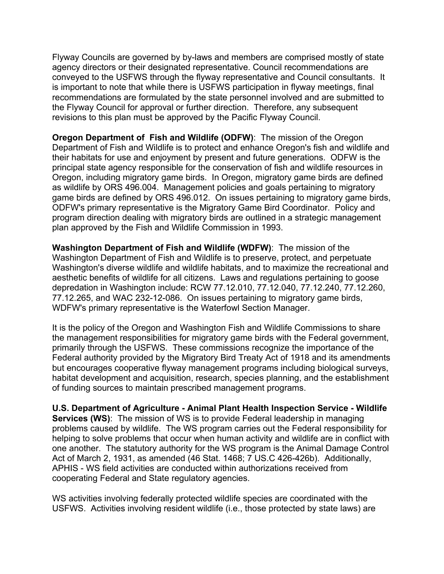Flyway Councils are governed by by-laws and members are comprised mostly of state agency directors or their designated representative. Council recommendations are conveyed to the USFWS through the flyway representative and Council consultants. It is important to note that while there is USFWS participation in flyway meetings, final recommendations are formulated by the state personnel involved and are submitted to the Flyway Council for approval or further direction. Therefore, any subsequent revisions to this plan must be approved by the Pacific Flyway Council.

**Oregon Department of Fish and Wildlife (ODFW)**: The mission of the Oregon Department of Fish and Wildlife is to protect and enhance Oregon's fish and wildlife and their habitats for use and enjoyment by present and future generations. ODFW is the principal state agency responsible for the conservation of fish and wildlife resources in Oregon, including migratory game birds. In Oregon, migratory game birds are defined as wildlife by ORS 496.004. Management policies and goals pertaining to migratory game birds are defined by ORS 496.012. On issues pertaining to migratory game birds, ODFW's primary representative is the Migratory Game Bird Coordinator. Policy and program direction dealing with migratory birds are outlined in a strategic management plan approved by the Fish and Wildlife Commission in 1993.

**Washington Department of Fish and Wildlife (WDFW)**: The mission of the Washington Department of Fish and Wildlife is to preserve, protect, and perpetuate Washington's diverse wildlife and wildlife habitats, and to maximize the recreational and aesthetic benefits of wildlife for all citizens. Laws and regulations pertaining to goose depredation in Washington include: RCW 77.12.010, 77.12.040, 77.12.240, 77.12.260, 77.12.265, and WAC 232-12-086. On issues pertaining to migratory game birds, WDFW's primary representative is the Waterfowl Section Manager.

It is the policy of the Oregon and Washington Fish and Wildlife Commissions to share the management responsibilities for migratory game birds with the Federal government, primarily through the USFWS. These commissions recognize the importance of the Federal authority provided by the Migratory Bird Treaty Act of 1918 and its amendments but encourages cooperative flyway management programs including biological surveys, habitat development and acquisition, research, species planning, and the establishment of funding sources to maintain prescribed management programs.

**U.S. Department of Agriculture - Animal Plant Health Inspection Service - Wildlife Services (WS):** The mission of WS is to provide Federal leadership in managing problems caused by wildlife. The WS program carries out the Federal responsibility for helping to solve problems that occur when human activity and wildlife are in conflict with one another. The statutory authority for the WS program is the Animal Damage Control Act of March 2, 1931, as amended (46 Stat. 1468; 7 US.C 426-426b). Additionally, APHIS - WS field activities are conducted within authorizations received from cooperating Federal and State regulatory agencies.

WS activities involving federally protected wildlife species are coordinated with the USFWS. Activities involving resident wildlife (i.e., those protected by state laws) are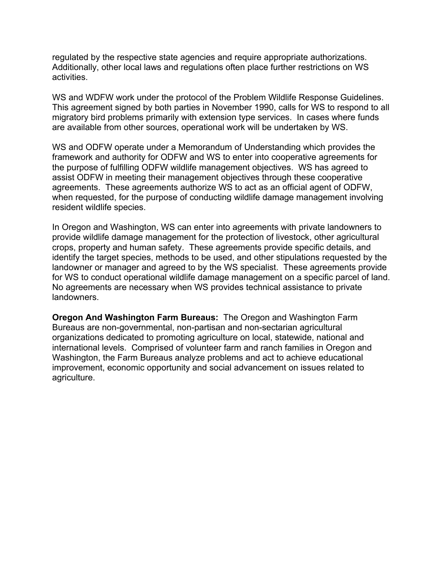regulated by the respective state agencies and require appropriate authorizations. Additionally, other local laws and regulations often place further restrictions on WS activities.

WS and WDFW work under the protocol of the Problem Wildlife Response Guidelines. This agreement signed by both parties in November 1990, calls for WS to respond to all migratory bird problems primarily with extension type services. In cases where funds are available from other sources, operational work will be undertaken by WS.

WS and ODFW operate under a Memorandum of Understanding which provides the framework and authority for ODFW and WS to enter into cooperative agreements for the purpose of fulfilling ODFW wildlife management objectives. WS has agreed to assist ODFW in meeting their management objectives through these cooperative agreements. These agreements authorize WS to act as an official agent of ODFW, when requested, for the purpose of conducting wildlife damage management involving resident wildlife species.

In Oregon and Washington, WS can enter into agreements with private landowners to provide wildlife damage management for the protection of livestock, other agricultural crops, property and human safety. These agreements provide specific details, and identify the target species, methods to be used, and other stipulations requested by the landowner or manager and agreed to by the WS specialist. These agreements provide for WS to conduct operational wildlife damage management on a specific parcel of land. No agreements are necessary when WS provides technical assistance to private landowners.

**Oregon And Washington Farm Bureaus:** The Oregon and Washington Farm Bureaus are non-governmental, non-partisan and non-sectarian agricultural organizations dedicated to promoting agriculture on local, statewide, national and international levels. Comprised of volunteer farm and ranch families in Oregon and Washington, the Farm Bureaus analyze problems and act to achieve educational improvement, economic opportunity and social advancement on issues related to agriculture.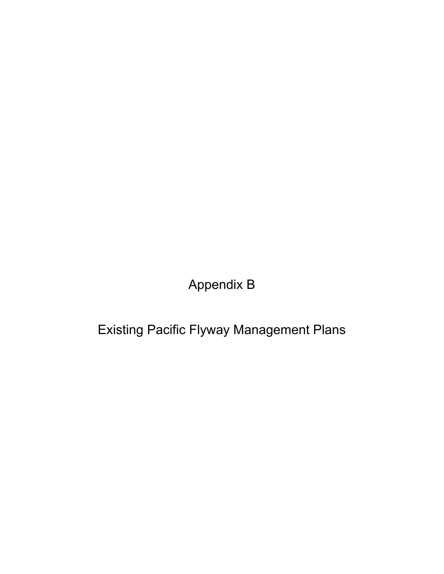Appendix B

Existing Pacific Flyway Management Plans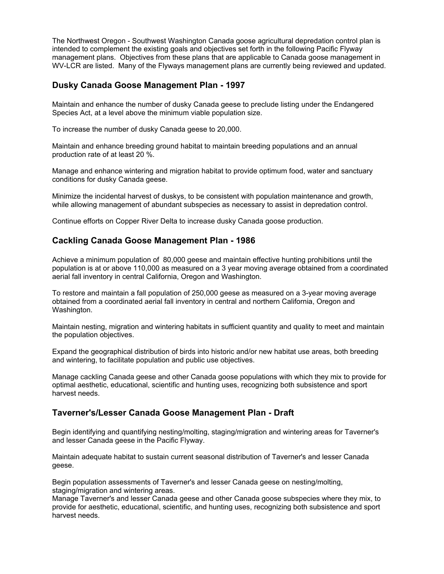The Northwest Oregon - Southwest Washington Canada goose agricultural depredation control plan is intended to complement the existing goals and objectives set forth in the following Pacific Flyway management plans. Objectives from these plans that are applicable to Canada goose management in WV-LCR are listed. Many of the Flyways management plans are currently being reviewed and updated.

## **Dusky Canada Goose Management Plan - 1997**

Maintain and enhance the number of dusky Canada geese to preclude listing under the Endangered Species Act, at a level above the minimum viable population size.

To increase the number of dusky Canada geese to 20,000.

Maintain and enhance breeding ground habitat to maintain breeding populations and an annual production rate of at least 20 %.

Manage and enhance wintering and migration habitat to provide optimum food, water and sanctuary conditions for dusky Canada geese.

Minimize the incidental harvest of duskys, to be consistent with population maintenance and growth, while allowing management of abundant subspecies as necessary to assist in depredation control.

Continue efforts on Copper River Delta to increase dusky Canada goose production.

## **Cackling Canada Goose Management Plan - 1986**

Achieve a minimum population of 80,000 geese and maintain effective hunting prohibitions until the population is at or above 110,000 as measured on a 3 year moving average obtained from a coordinated aerial fall inventory in central California, Oregon and Washington.

To restore and maintain a fall population of 250,000 geese as measured on a 3-year moving average obtained from a coordinated aerial fall inventory in central and northern California, Oregon and Washington.

Maintain nesting, migration and wintering habitats in sufficient quantity and quality to meet and maintain the population objectives.

Expand the geographical distribution of birds into historic and/or new habitat use areas, both breeding and wintering, to facilitate population and public use objectives.

Manage cackling Canada geese and other Canada goose populations with which they mix to provide for optimal aesthetic, educational, scientific and hunting uses, recognizing both subsistence and sport harvest needs.

### **Taverner's/Lesser Canada Goose Management Plan - Draft**

Begin identifying and quantifying nesting/molting, staging/migration and wintering areas for Taverner's and lesser Canada geese in the Pacific Flyway.

Maintain adequate habitat to sustain current seasonal distribution of Taverner's and lesser Canada geese.

Begin population assessments of Taverner's and lesser Canada geese on nesting/molting, staging/migration and wintering areas.

Manage Taverner's and lesser Canada geese and other Canada goose subspecies where they mix, to provide for aesthetic, educational, scientific, and hunting uses, recognizing both subsistence and sport harvest needs.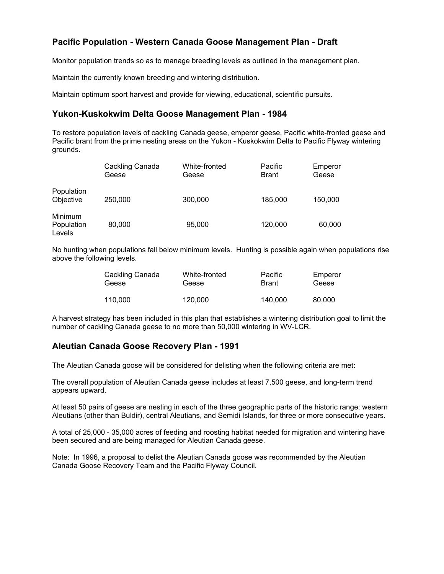## **Pacific Population - Western Canada Goose Management Plan - Draft**

Monitor population trends so as to manage breeding levels as outlined in the management plan.

Maintain the currently known breeding and wintering distribution.

Maintain optimum sport harvest and provide for viewing, educational, scientific pursuits.

## **Yukon-Kuskokwim Delta Goose Management Plan - 1984**

To restore population levels of cackling Canada geese, emperor geese, Pacific white-fronted geese and Pacific brant from the prime nesting areas on the Yukon - Kuskokwim Delta to Pacific Flyway wintering grounds.

|                                 | Cackling Canada<br>Geese | White-fronted<br>Geese | Pacific<br><b>Brant</b> | Emperor<br>Geese |
|---------------------------------|--------------------------|------------------------|-------------------------|------------------|
| Population<br>Objective         | 250,000                  | 300,000                | 185,000                 | 150,000          |
| Minimum<br>Population<br>Levels | 80,000                   | 95,000                 | 120,000                 | 60,000           |

No hunting when populations fall below minimum levels. Hunting is possible again when populations rise above the following levels.

| Cackling Canada | White-fronted | Pacific      | Emperor |
|-----------------|---------------|--------------|---------|
| Geese           | Geese         | <b>Brant</b> | Geese   |
| 110.000         | 120,000       | 140.000      | 80.000  |

A harvest strategy has been included in this plan that establishes a wintering distribution goal to limit the number of cackling Canada geese to no more than 50,000 wintering in WV-LCR.

### **Aleutian Canada Goose Recovery Plan - 1991**

The Aleutian Canada goose will be considered for delisting when the following criteria are met:

The overall population of Aleutian Canada geese includes at least 7,500 geese, and long-term trend appears upward.

At least 50 pairs of geese are nesting in each of the three geographic parts of the historic range: western Aleutians (other than Buldir), central Aleutians, and Semidi Islands, for three or more consecutive years.

A total of 25,000 - 35,000 acres of feeding and roosting habitat needed for migration and wintering have been secured and are being managed for Aleutian Canada geese.

Note: In 1996, a proposal to delist the Aleutian Canada goose was recommended by the Aleutian Canada Goose Recovery Team and the Pacific Flyway Council.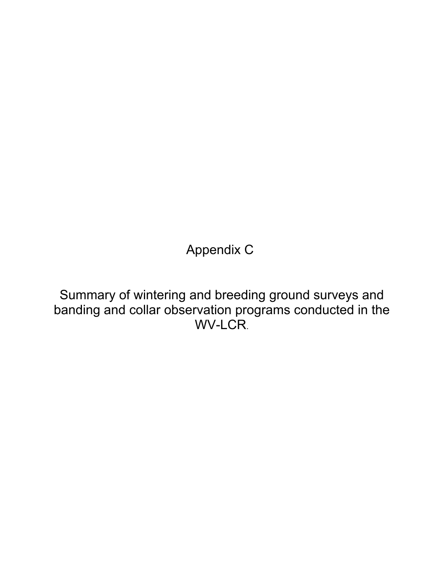Appendix C

Summary of wintering and breeding ground surveys and banding and collar observation programs conducted in the WV-LCR.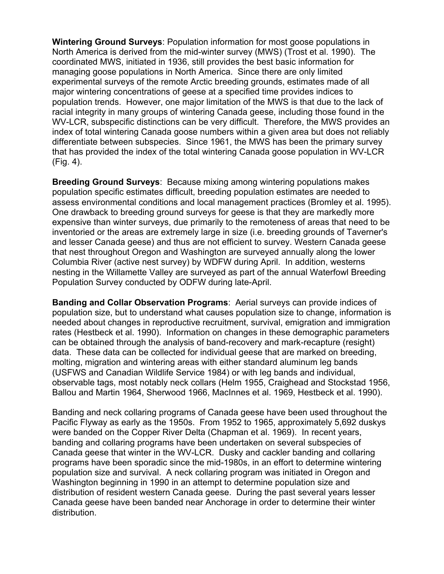**Wintering Ground Surveys**: Population information for most goose populations in North America is derived from the mid-winter survey (MWS) (Trost et al. 1990). The coordinated MWS, initiated in 1936, still provides the best basic information for managing goose populations in North America. Since there are only limited experimental surveys of the remote Arctic breeding grounds, estimates made of all major wintering concentrations of geese at a specified time provides indices to population trends. However, one major limitation of the MWS is that due to the lack of racial integrity in many groups of wintering Canada geese, including those found in the WV-LCR, subspecific distinctions can be very difficult. Therefore, the MWS provides an index of total wintering Canada goose numbers within a given area but does not reliably differentiate between subspecies. Since 1961, the MWS has been the primary survey that has provided the index of the total wintering Canada goose population in WV-LCR (Fig. 4).

**Breeding Ground Surveys**: Because mixing among wintering populations makes population specific estimates difficult, breeding population estimates are needed to assess environmental conditions and local management practices (Bromley et al. 1995). One drawback to breeding ground surveys for geese is that they are markedly more expensive than winter surveys, due primarily to the remoteness of areas that need to be inventoried or the areas are extremely large in size (i.e. breeding grounds of Taverner's and lesser Canada geese) and thus are not efficient to survey. Western Canada geese that nest throughout Oregon and Washington are surveyed annually along the lower Columbia River (active nest survey) by WDFW during April. In addition, westerns nesting in the Willamette Valley are surveyed as part of the annual Waterfowl Breeding Population Survey conducted by ODFW during late-April.

**Banding and Collar Observation Programs**: Aerial surveys can provide indices of population size, but to understand what causes population size to change, information is needed about changes in reproductive recruitment, survival, emigration and immigration rates (Hestbeck et al. 1990). Information on changes in these demographic parameters can be obtained through the analysis of band-recovery and mark-recapture (resight) data. These data can be collected for individual geese that are marked on breeding, molting, migration and wintering areas with either standard aluminum leg bands (USFWS and Canadian Wildlife Service 1984) or with leg bands and individual, observable tags, most notably neck collars (Helm 1955, Craighead and Stockstad 1956, Ballou and Martin 1964, Sherwood 1966, MacInnes et al. 1969, Hestbeck et al. 1990).

Banding and neck collaring programs of Canada geese have been used throughout the Pacific Flyway as early as the 1950s. From 1952 to 1965, approximately 5,692 duskys were banded on the Copper River Delta (Chapman et al. 1969). In recent years, banding and collaring programs have been undertaken on several subspecies of Canada geese that winter in the WV-LCR. Dusky and cackler banding and collaring programs have been sporadic since the mid-1980s, in an effort to determine wintering population size and survival. A neck collaring program was initiated in Oregon and Washington beginning in 1990 in an attempt to determine population size and distribution of resident western Canada geese. During the past several years lesser Canada geese have been banded near Anchorage in order to determine their winter distribution.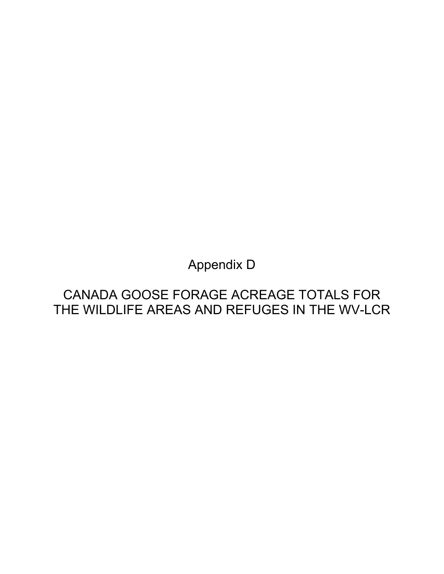Appendix D

## CANADA GOOSE FORAGE ACREAGE TOTALS FOR THE WILDLIFE AREAS AND REFUGES IN THE WV-LCR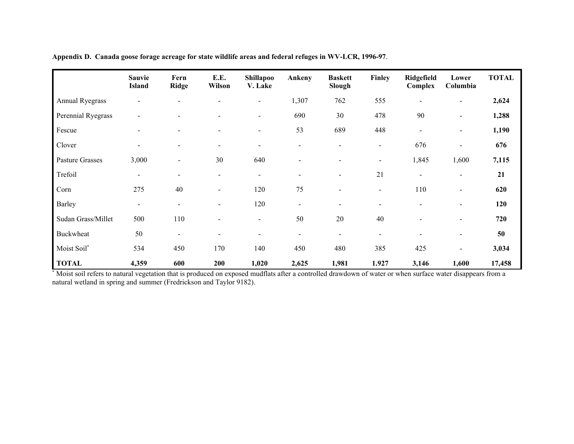|                        | Sauvie<br><b>Island</b> | Fern<br><b>Ridge</b>     | E.E.<br><b>Wilson</b>    | <b>Shillapoo</b><br>V. Lake | Ankeny                   | <b>Baskett</b><br>Slough | Finley                   | Ridgefield<br>Complex    | Lower<br>Columbia        | <b>TOTAL</b> |
|------------------------|-------------------------|--------------------------|--------------------------|-----------------------------|--------------------------|--------------------------|--------------------------|--------------------------|--------------------------|--------------|
| <b>Annual Ryegrass</b> |                         |                          |                          |                             | 1,307                    | 762                      | 555                      |                          | -                        | 2,624        |
| Perennial Ryegrass     |                         |                          |                          | $\overline{\phantom{a}}$    | 690                      | 30                       | 478                      | 90                       | $\overline{\phantom{a}}$ | 1,288        |
| Fescue                 |                         |                          |                          | $\blacksquare$              | 53                       | 689                      | 448                      | $\overline{\phantom{a}}$ | $\overline{\phantom{a}}$ | 1,190        |
| Clover                 |                         |                          | ٠                        | $\overline{\phantom{0}}$    | $\overline{a}$           |                          | $\blacksquare$           | 676                      | $\blacksquare$           | 676          |
| <b>Pasture Grasses</b> | 3,000                   | $\overline{\phantom{a}}$ | 30                       | 640                         | $\overline{\phantom{0}}$ |                          | $\blacksquare$           | 1,845                    | 1,600                    | 7,115        |
| Trefoil                |                         |                          |                          | $\blacksquare$              | $\overline{a}$           |                          | 21                       | $\blacksquare$           | $\blacksquare$           | 21           |
| Corn                   | 275                     | 40                       | $\overline{\phantom{0}}$ | 120                         | 75                       |                          | $\overline{\phantom{a}}$ | 110                      | $\overline{\phantom{a}}$ | 620          |
| Barley                 | $\blacksquare$          |                          |                          | 120                         | $\overline{a}$           |                          | $\overline{\phantom{0}}$ |                          | $\overline{\phantom{0}}$ | 120          |
| Sudan Grass/Millet     | 500                     | 110                      | $\overline{\phantom{a}}$ | $\overline{\phantom{0}}$    | 50                       | 20                       | 40                       |                          | $\overline{\phantom{a}}$ | 720          |
| Buckwheat              | 50                      | $\overline{\phantom{a}}$ | $\overline{\phantom{a}}$ |                             | $\overline{a}$           | $\overline{\phantom{a}}$ | $\overline{\phantom{a}}$ |                          | $\overline{\phantom{0}}$ | 50           |
| Moist Soil*            | 534                     | 450                      | 170                      | 140                         | 450                      | 480                      | 385                      | 425                      | -                        | 3,034        |
| <b>TOTAL</b>           | 4,359                   | 600                      | 200                      | 1,020                       | 2,625                    | 1,981                    | 1.927                    | 3,146                    | 1,600                    | 17,458       |

**Appendix D. Canada goose forage acreage for state wildlife areas and federal refuges in WV-LCR, 1996-97**.

J.

\* Moist soil refers to natural vegetation that is produced on exposed mudflats after a controlled drawdown of water or when surface water disappears from a natural wetland in spring and summer (Fredrickson and Taylor 9182).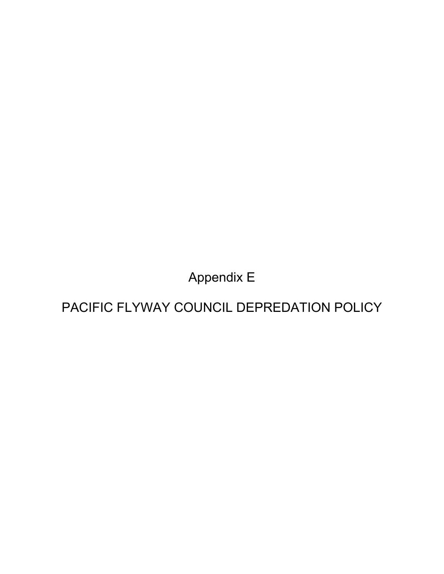Appendix E

PACIFIC FLYWAY COUNCIL DEPREDATION POLICY